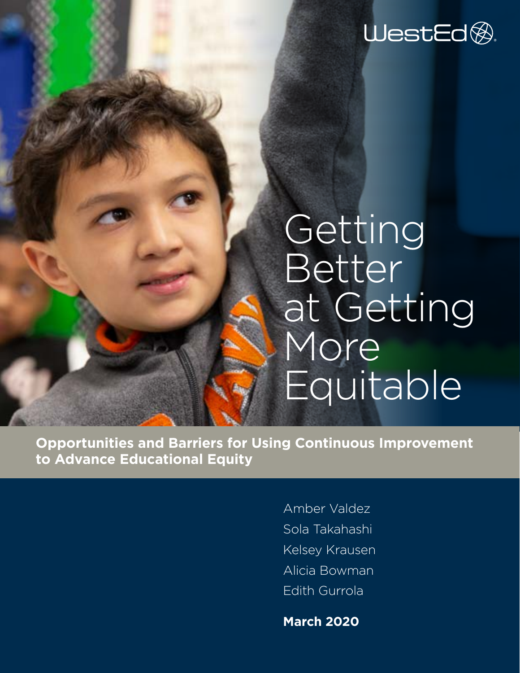WestEd<sup>®.</sup>

## Getting Better at Getting More Equitable

**Opportunities and Barriers for Using Continuous Improvement to Advance Educational Equity** 

> Amber Valdez Sola Takahashi Kelsey Krausen Alicia Bowman Edith Gurrola

**March 2020**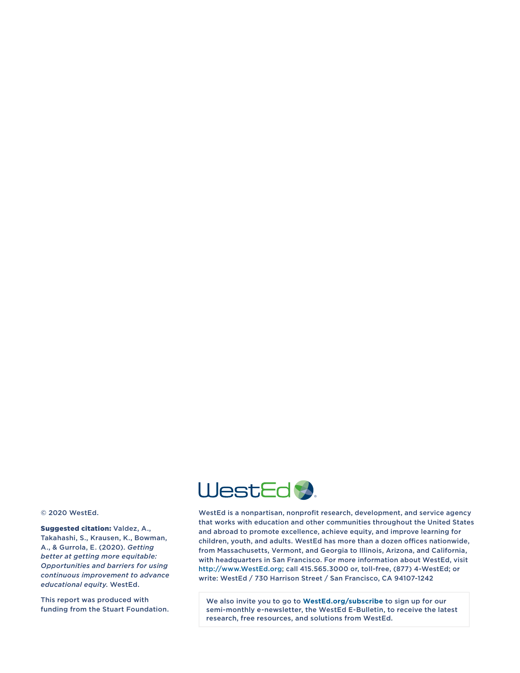

© 2020 WestEd.

Suggested citation: Valdez, A., Takahashi, S., Krausen, K., Bowman, A., & Gurrola, E. (2020). *Getting better at getting more equitable: Opportunities and barriers for using continuous improvement to advance educational equity*. WestEd.

This report was produced with funding from the Stuart Foundation.

WestEd is a nonpartisan, nonprofit research, development, and service agency that works with education and other communities throughout the United States and abroad to promote excellence, achieve equity, and improve learning for children, youth, and adults. WestEd has more than a dozen offices nationwide, from Massachusetts, Vermont, and Georgia to Illinois, Arizona, and California, with headquarters in San Francisco. For more information about WestEd, visit <http://www.WestEd.org>; call 415.565.3000 or, toll-free, (877) 4-WestEd; or write: WestEd / 730 Harrison Street / San Francisco, CA 94107-1242

We also invite you to go to **[WestEd.org/subscribe](https://wested.org/subscribe/)** to sign up for our semi-monthly e-newsletter, the WestEd E-Bulletin, to receive the latest research, free resources, and solutions from WestEd.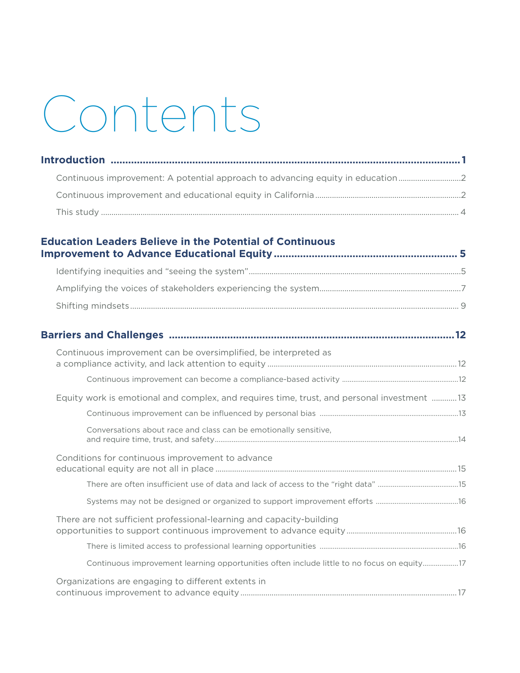# Contents

| Continuous improvement: A potential approach to advancing equity in education2 |  |  |  |
|--------------------------------------------------------------------------------|--|--|--|
|                                                                                |  |  |  |
|                                                                                |  |  |  |
| <b>Education Leaders Believe in the Potential of Continuous</b>                |  |  |  |

| Barriers and Challenges ……………………………………………………………………………………………12                              |
|--------------------------------------------------------------------------------------------|
| Continuous improvement can be oversimplified, be interpreted as                            |
|                                                                                            |
| Equity work is emotional and complex, and requires time, trust, and personal investment 13 |
|                                                                                            |
| Conversations about race and class can be emotionally sensitive,                           |
| Conditions for continuous improvement to advance                                           |
|                                                                                            |
|                                                                                            |
| There are not sufficient professional-learning and capacity-building                       |
|                                                                                            |
| Continuous improvement learning opportunities often include little to no focus on equity17 |
| Organizations are engaging to different extents in                                         |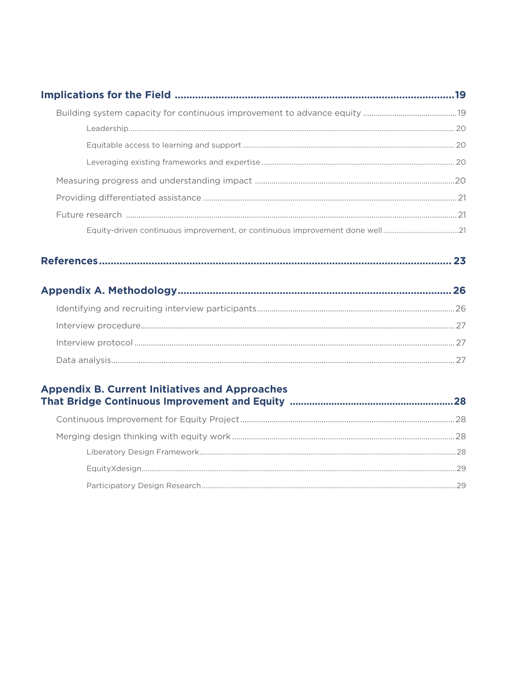| - 29 |  |
|------|--|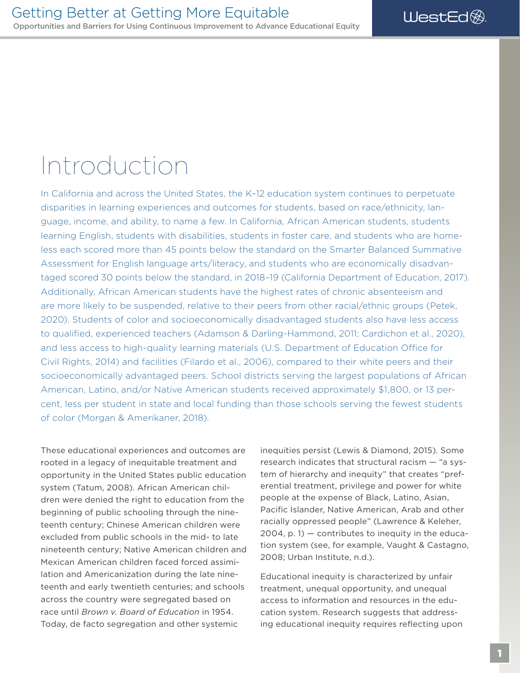### <span id="page-4-0"></span>Introduction

In California and across the United States, the K–12 education system continues to perpetuate disparities in learning experiences and outcomes for students, based on race/ethnicity, language, income, and ability, to name a few. In California, African American students, students learning English, students with disabilities, students in foster care, and students who are homeless each scored more than 45 points below the standard on the Smarter Balanced Summative Assessment for English language arts/literacy, and students who are economically disadvantaged scored 30 points below the standard, in 2018–19 (California Department of Education, 2017). Additionally, African American students have the highest rates of chronic absenteeism and are more likely to be suspended, relative to their peers from other racial/ethnic groups (Petek, 2020). Students of color and socioeconomically disadvantaged students also have less access to qualifed, experienced teachers (Adamson & Darling-Hammond, 2011; Cardichon et al., 2020), and less access to high-quality learning materials (U.S. Department of Education Office for Civil Rights, 2014) and facilities (Filardo et al., 2006), compared to their white peers and their socioeconomically advantaged peers. School districts serving the largest populations of African American, Latino, and/or Native American students received approximately \$1,800, or 13 percent, less per student in state and local funding than those schools serving the fewest students of color (Morgan & Amerikaner, 2018).

These educational experiences and outcomes are rooted in a legacy of inequitable treatment and opportunity in the United States public education system (Tatum, 2008). African American children were denied the right to education from the beginning of public schooling through the nineteenth century; Chinese American children were excluded from public schools in the mid- to late nineteenth century; Native American children and Mexican American children faced forced assimilation and Americanization during the late nineteenth and early twentieth centuries; and schools across the country were segregated based on race until *Brown v. Board of Education* in 1954. Today, de facto segregation and other systemic

inequities persist (Lewis & Diamond, 2015). Some research indicates that structural racism — "a system of hierarchy and inequity" that creates "preferential treatment, privilege and power for white people at the expense of Black, Latino, Asian, Pacific Islander, Native American, Arab and other racially oppressed people" (Lawrence & Keleher,  $2004$ , p. 1)  $-$  contributes to inequity in the education system (see, for example, Vaught & Castagno, 2008; Urban Institute, n.d.).

Educational inequity is characterized by unfair treatment, unequal opportunity, and unequal access to information and resources in the education system. Research suggests that addressing educational inequity requires refecting upon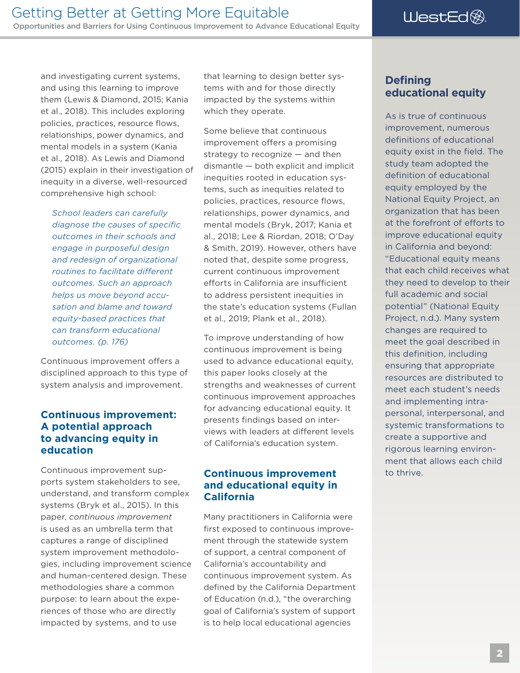<span id="page-5-0"></span>and investigating current systems, and using this learning to improve them (Lewis & Diamond, 2015; Kania et al., 2018). This includes exploring policies, practices, resource flows, relationships, power dynamics, and mental models in a system (Kania et al., 2018). As Lewis and Diamond (2015) explain in their investigation of inequity in a diverse, well-resourced comprehensive high school:

*School leaders can carefully diagnose the causes of specifc outcomes in their schools and engage in purposeful design and redesign of organizational routines to facilitate diferent outcomes. Such an approach helps us move beyond accusation and blame and toward equity-based practices that can transform educational outcomes. (p. 176)* 

Continuous improvement offers a disciplined approach to this type of system analysis and improvement.

#### **Continuous improvement: A potential approach to advancing equity in education**

Continuous improvement supports system stakeholders to see, understand, and transform complex systems (Bryk et al., 2015). In this paper, *continuous improvement*  is used as an umbrella term that captures a range of disciplined system improvement methodologies, including improvement science and human-centered design. These methodologies share a common purpose: to learn about the experiences of those who are directly impacted by systems, and to use

that learning to design better systems with and for those directly impacted by the systems within which they operate.

Some believe that continuous improvement offers a promising strategy to recognize — and then dismantle — both explicit and implicit inequities rooted in education systems, such as inequities related to policies, practices, resource flows, relationships, power dynamics, and mental models (Bryk, 2017; Kania et al., 2018; Lee & Riordan, 2018; O'Day & Smith, 2019). However, others have noted that, despite some progress, current continuous improvement efforts in California are insufficient to address persistent inequities in the state's education systems (Fullan et al., 2019; Plank et al., 2018).

To improve understanding of how continuous improvement is being used to advance educational equity, this paper looks closely at the strengths and weaknesses of current continuous improvement approaches for advancing educational equity. It presents findings based on interviews with leaders at diferent levels of California's education system.

#### **Continuous improvement and educational equity in California**

Many practitioners in California were first exposed to continuous improvement through the statewide system of support, a central component of California's accountability and continuous improvement system. As defined by the California Department of Education (n.d.), "the overarching goal of California's system of support is to help local educational agencies

#### **Defining educational equity**

As is true of continuous improvement, numerous definitions of educational equity exist in the field. The study team adopted the definition of educational equity employed by the National Equity Project, an organization that has been at the forefront of efforts to improve educational equity in California and beyond: "Educational equity means that each child receives what they need to develop to their full academic and social potential" (National Equity Project, n.d.). Many system changes are required to meet the goal described in this definition, including ensuring that appropriate resources are distributed to meet each student's needs and implementing intrapersonal, interpersonal, and systemic transformations to create a supportive and rigorous learning environment that allows each child to thrive.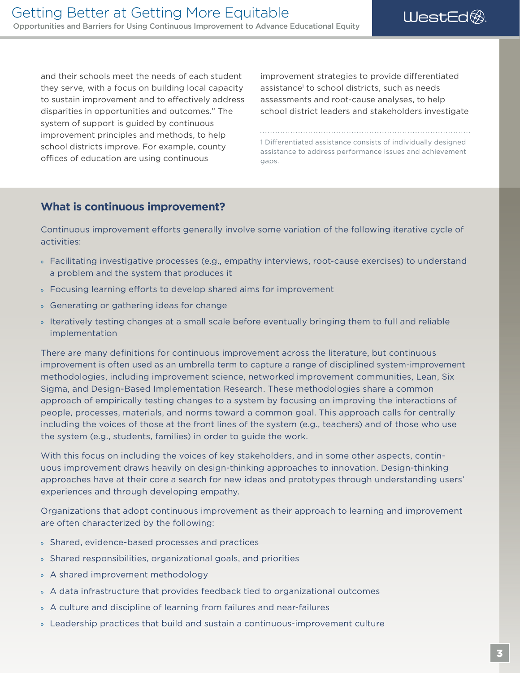and their schools meet the needs of each student improvement strategies to provide differentiated they serve, with a focus on building local capacity to sustain improvement and to efectively address assessments and root-cause analyses, to help disparities in opportunities and outcomes." The school district leaders and stakeholders investigate system of support is guided by continuous improvement principles and methods, to help offices of education are using continuous  $_{\text{qaps.}}$ 

assistance<sup>1</sup> to school districts, such as needs

1 Differentiated assistance consists of individually designed<br>school districts improve. For example, county assistance to address performance issues and achievement

#### **What is continuous improvement?**

Continuous improvement efforts generally involve some variation of the following iterative cycle of activities:

- » Facilitating investigative processes (e.g., empathy interviews, root-cause exercises) to understand a problem and the system that produces it
- » Focusing learning efforts to develop shared aims for improvement
- » Generating or gathering ideas for change
- » Iteratively testing changes at a small scale before eventually bringing them to full and reliable implementation

There are many defnitions for continuous improvement across the literature, but continuous improvement is often used as an umbrella term to capture a range of disciplined system-improvement methodologies, including improvement science, networked improvement communities, Lean, Six Sigma, and Design-Based Implementation Research. These methodologies share a common approach of empirically testing changes to a system by focusing on improving the interactions of people, processes, materials, and norms toward a common goal. This approach calls for centrally including the voices of those at the front lines of the system (e.g., teachers) and of those who use the system (e.g., students, families) in order to guide the work.

With this focus on including the voices of key stakeholders, and in some other aspects, continuous improvement draws heavily on design-thinking approaches to innovation. Design-thinking approaches have at their core a search for new ideas and prototypes through understanding users' experiences and through developing empathy.

Organizations that adopt continuous improvement as their approach to learning and improvement are often characterized by the following:

- » Shared, evidence-based processes and practices
- » Shared responsibilities, organizational goals, and priorities
- » A shared improvement methodology
- » A data infrastructure that provides feedback tied to organizational outcomes
- » A culture and discipline of learning from failures and near-failures
- » Leadership practices that build and sustain a continuous-improvement culture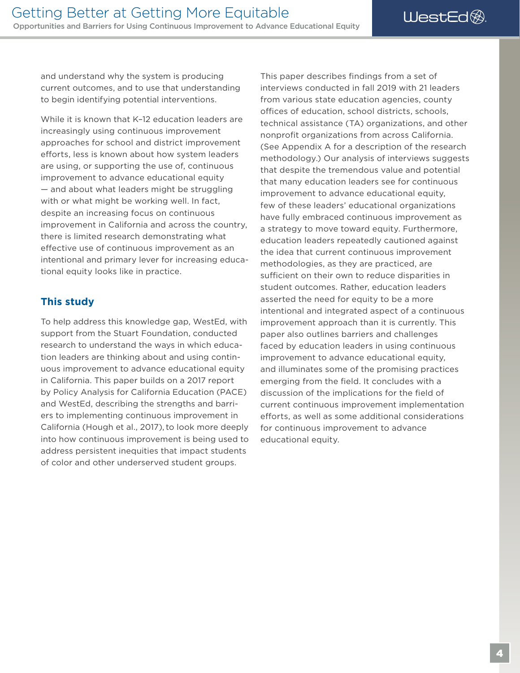WestEd<sup>®</sup>

<span id="page-7-0"></span>and understand why the system is producing current outcomes, and to use that understanding to begin identifying potential interventions.

While it is known that K–12 education leaders are increasingly using continuous improvement approaches for school and district improvement efforts, less is known about how system leaders are using, or supporting the use of, continuous improvement to advance educational equity — and about what leaders might be struggling with or what might be working well. In fact, despite an increasing focus on continuous improvement in California and across the country, there is limited research demonstrating what efective use of continuous improvement as an intentional and primary lever for increasing educational equity looks like in practice.

#### **This study**

To help address this knowledge gap, WestEd, with support from the Stuart Foundation, conducted research to understand the ways in which education leaders are thinking about and using continuous improvement to advance educational equity in California. This paper builds on a 2017 report by Policy Analysis for California Education (PACE) and WestEd, describing the strengths and barriers to implementing continuous improvement in California (Hough et al., 2017), to look more deeply into how continuous improvement is being used to address persistent inequities that impact students of color and other underserved student groups.

This paper describes findings from a set of interviews conducted in fall 2019 with 21 leaders from various state education agencies, county offices of education, school districts, schools, technical assistance (TA) organizations, and other nonprofit organizations from across California. (See Appendix A for a description of the research methodology.) Our analysis of interviews suggests that despite the tremendous value and potential that many education leaders see for continuous improvement to advance educational equity, few of these leaders' educational organizations have fully embraced continuous improvement as a strategy to move toward equity. Furthermore, education leaders repeatedly cautioned against the idea that current continuous improvement methodologies, as they are practiced, are sufficient on their own to reduce disparities in student outcomes. Rather, education leaders asserted the need for equity to be a more intentional and integrated aspect of a continuous improvement approach than it is currently. This paper also outlines barriers and challenges faced by education leaders in using continuous improvement to advance educational equity, and illuminates some of the promising practices emerging from the field. It concludes with a discussion of the implications for the field of current continuous improvement implementation efforts, as well as some additional considerations for continuous improvement to advance educational equity.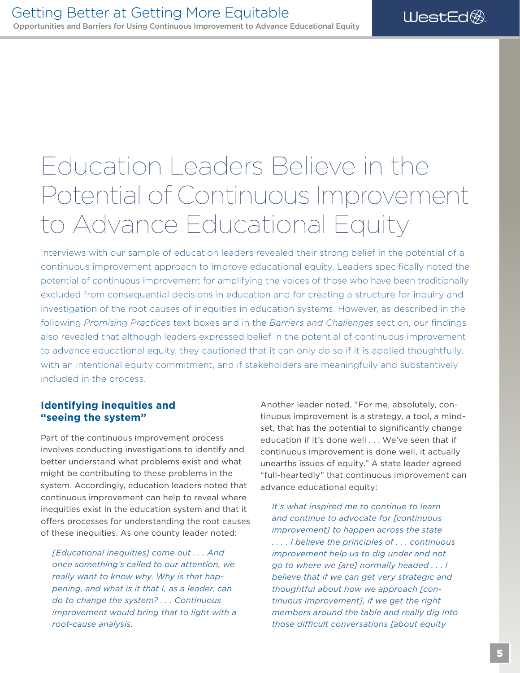### <span id="page-8-0"></span>Education Leaders Believe in the Potential of Continuous Improvement to Advance Educational Equity

Interviews with our sample of education leaders revealed their strong belief in the potential of a continuous improvement approach to improve educational equity. Leaders specifcally noted the potential of continuous improvement for amplifying the voices of those who have been traditionally excluded from consequential decisions in education and for creating a structure for inquiry and investigation of the root causes of inequities in education systems. However, as described in the following *Promising Practices* text boxes and in the *Barriers and Challenges* section, our fndings also revealed that although leaders expressed belief in the potential of continuous improvement to advance educational equity, they cautioned that it can only do so if it is applied thoughtfully, with an intentional equity commitment, and if stakeholders are meaningfully and substantively included in the process.

#### **Identifying inequities and "seeing the system"**

Part of the continuous improvement process involves conducting investigations to identify and better understand what problems exist and what might be contributing to these problems in the system. Accordingly, education leaders noted that continuous improvement can help to reveal where inequities exist in the education system and that it offers processes for understanding the root causes of these inequities. As one county leader noted:

*[Educational inequities] come out . . . And once something's called to our attention, we really want to know why. Why is that happening, and what is it that I, as a leader, can do to change the system? . . . Continuous improvement would bring that to light with a root-cause analysis.* 

Another leader noted, "For me, absolutely, continuous improvement is a strategy, a tool, a mindset, that has the potential to significantly change education if it's done well . . . We've seen that if continuous improvement is done well, it actually unearths issues of equity." A state leader agreed "full-heartedly" that continuous improvement can advance educational equity:

*It's what inspired me to continue to learn and continue to advocate for [continuous improvement] to happen across the state . . . . I believe the principles of . . . continuous improvement help us to dig under and not go to where we [are] normally headed . . . I believe that if we can get very strategic and thoughtful about how we approach [continuous improvement], if we get the right members around the table and really dig into those difcult conversations [about equity*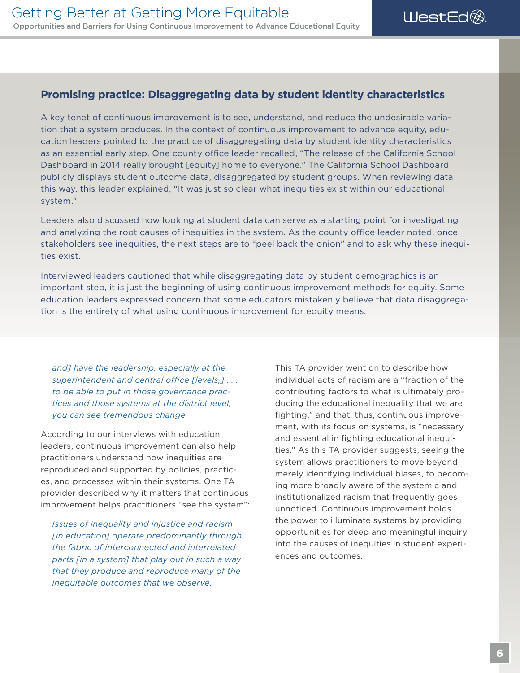#### **Promising practice: Disaggregating data by student identity characteristics**

A key tenet of continuous improvement is to see, understand, and reduce the undesirable variation that a system produces. In the context of continuous improvement to advance equity, education leaders pointed to the practice of disaggregating data by student identity characteristics as an essential early step. One county office leader recalled, "The release of the California School Dashboard in 2014 really brought [equity] home to everyone." The California School Dashboard publicly displays student outcome data, disaggregated by student groups. When reviewing data this way, this leader explained, "It was just so clear what inequities exist within our educational system."

Leaders also discussed how looking at student data can serve as a starting point for investigating and analyzing the root causes of inequities in the system. As the county office leader noted, once stakeholders see inequities, the next steps are to "peel back the onion" and to ask why these inequities exist.

Interviewed leaders cautioned that while disaggregating data by student demographics is an important step, it is just the beginning of using continuous improvement methods for equity. Some education leaders expressed concern that some educators mistakenly believe that data disaggregation is the entirety of what using continuous improvement for equity means.

*and] have the leadership, especially at the*  superintendent and central office [levels,] . . . *to be able to put in those governance practices and those systems at the district level, you can see tremendous change.* 

According to our interviews with education leaders, continuous improvement can also help practitioners understand how inequities are reproduced and supported by policies, practices, and processes within their systems. One TA provider described why it matters that continuous improvement helps practitioners "see the system":

*Issues of inequality and injustice and racism [in education] operate predominantly through the fabric of interconnected and interrelated parts [in a system] that play out in such a way that they produce and reproduce many of the inequitable outcomes that we observe.* 

This TA provider went on to describe how individual acts of racism are a "fraction of the contributing factors to what is ultimately producing the educational inequality that we are fghting," and that, thus, continuous improvement, with its focus on systems, is "necessary and essential in fighting educational inequities." As this TA provider suggests, seeing the system allows practitioners to move beyond merely identifying individual biases, to becoming more broadly aware of the systemic and institutionalized racism that frequently goes unnoticed. Continuous improvement holds the power to illuminate systems by providing opportunities for deep and meaningful inquiry into the causes of inequities in student experiences and outcomes.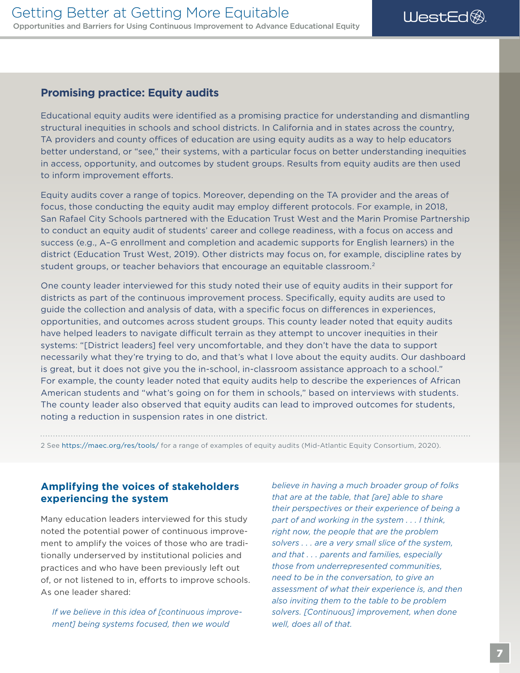WestEd<sup>®</sup>

#### <span id="page-10-0"></span>**Promising practice: Equity audits**

Educational equity audits were identifed as a promising practice for understanding and dismantling structural inequities in schools and school districts. In California and in states across the country, TA providers and county offices of education are using equity audits as a way to help educators better understand, or "see," their systems, with a particular focus on better understanding inequities in access, opportunity, and outcomes by student groups. Results from equity audits are then used to inform improvement efforts.

Equity audits cover a range of topics. Moreover, depending on the TA provider and the areas of focus, those conducting the equity audit may employ diferent protocols. For example, in 2018, San Rafael City Schools partnered with the Education Trust West and the Marin Promise Partnership to conduct an equity audit of students' career and college readiness, with a focus on access and success (e.g., A–G enrollment and completion and academic supports for English learners) in the district (Education Trust West, 2019). Other districts may focus on, for example, discipline rates by student groups, or teacher behaviors that encourage an equitable classroom.<sup>2</sup>

 The county leader also observed that equity audits can lead to improved outcomes for students, One county leader interviewed for this study noted their use of equity audits in their support for districts as part of the continuous improvement process. Specifcally, equity audits are used to guide the collection and analysis of data, with a specific focus on differences in experiences, opportunities, and outcomes across student groups. This county leader noted that equity audits have helped leaders to navigate difficult terrain as they attempt to uncover inequities in their systems: "[District leaders] feel very uncomfortable, and they don't have the data to support necessarily what they're trying to do, and that's what I love about the equity audits. Our dashboard is great, but it does not give you the in-school, in-classroom assistance approach to a school." For example, the county leader noted that equity audits help to describe the experiences of African American students and "what's going on for them in schools," based on interviews with students. noting a reduction in suspension rates in one district.

2 See <https://maec.org/res/tools/> for a range of examples of equity audits (Mid-Atlantic Equity Consortium, 2020).

#### **Amplifying the voices of stakeholders experiencing the system**

Many education leaders interviewed for this study noted the potential power of continuous improvement to amplify the voices of those who are traditionally underserved by institutional policies and practices and who have been previously left out of, or not listened to in, efforts to improve schools. As one leader shared:

*If we believe in this idea of [continuous improvement] being systems focused, then we would* 

*believe in having a much broader group of folks that are at the table, that [are] able to share their perspectives or their experience of being a part of and working in the system . . . I think, right now, the people that are the problem solvers . . . are a very small slice of the system, and that . . . parents and families, especially those from underrepresented communities, need to be in the conversation, to give an assessment of what their experience is, and then also inviting them to the table to be problem solvers. [Continuous] improvement, when done well, does all of that.*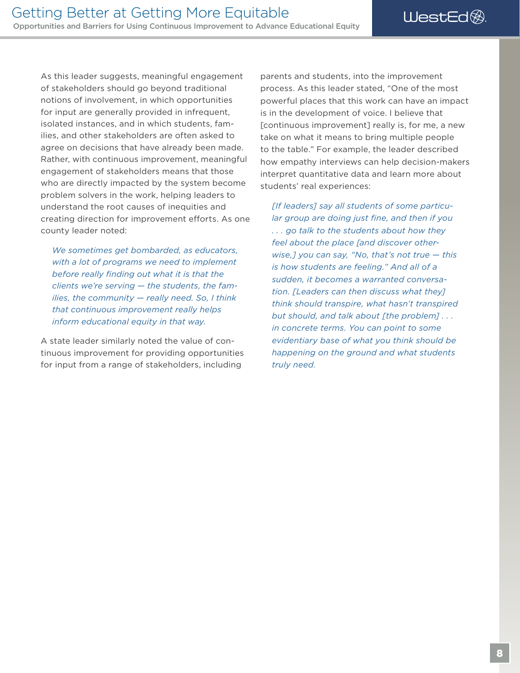As this leader suggests, meaningful engagement of stakeholders should go beyond traditional notions of involvement, in which opportunities for input are generally provided in infrequent, isolated instances, and in which students, families, and other stakeholders are often asked to agree on decisions that have already been made. Rather, with continuous improvement, meaningful engagement of stakeholders means that those who are directly impacted by the system become problem solvers in the work, helping leaders to understand the root causes of inequities and creating direction for improvement efforts. As one county leader noted:

*We sometimes get bombarded, as educators, with a lot of programs we need to implement before really fnding out what it is that the clients we're serving — the students, the families, the community — really need. So, I think that continuous improvement really helps inform educational equity in that way.* 

A state leader similarly noted the value of continuous improvement for providing opportunities for input from a range of stakeholders, including

parents and students, into the improvement process. As this leader stated, "One of the most powerful places that this work can have an impact is in the development of voice. I believe that [continuous improvement] really is, for me, a new take on what it means to bring multiple people to the table." For example, the leader described how empathy interviews can help decision-makers interpret quantitative data and learn more about students' real experiences:

*[If leaders] say all students of some particular group are doing just fne, and then if you . . . go talk to the students about how they feel about the place [and discover otherwise,] you can say, "No, that's not true — this is how students are feeling." And all of a sudden, it becomes a warranted conversation. [Leaders can then discuss what they] think should transpire, what hasn't transpired but should, and talk about [the problem] . . . in concrete terms. You can point to some evidentiary base of what you think should be happening on the ground and what students truly need.*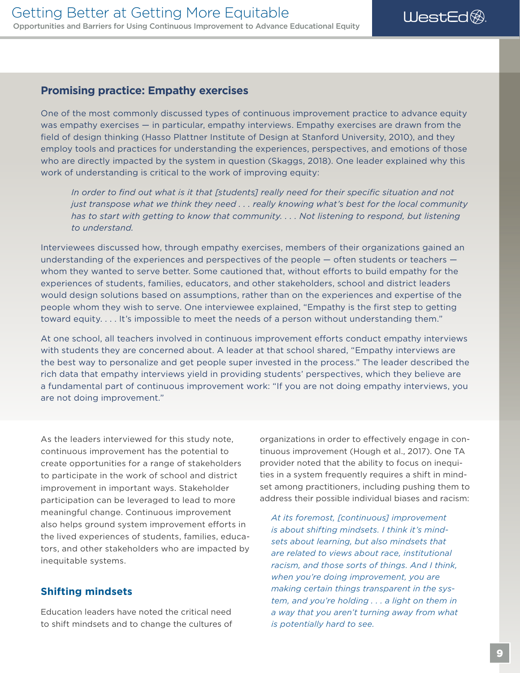WestEd<sup>®</sup>

#### <span id="page-12-0"></span>**Promising practice: Empathy exercises**

One of the most commonly discussed types of continuous improvement practice to advance equity was empathy exercises — in particular, empathy interviews. Empathy exercises are drawn from the feld of design thinking (Hasso Plattner Institute of Design at Stanford University, 2010), and they employ tools and practices for understanding the experiences, perspectives, and emotions of those who are directly impacted by the system in question (Skaggs, 2018). One leader explained why this work of understanding is critical to the work of improving equity:

*In order to fnd out what is it that [students] really need for their specifc situation and not just transpose what we think they need . . . really knowing what's best for the local community has to start with getting to know that community. . . . Not listening to respond, but listening to understand.* 

Interviewees discussed how, through empathy exercises, members of their organizations gained an understanding of the experiences and perspectives of the people — often students or teachers whom they wanted to serve better. Some cautioned that, without efforts to build empathy for the experiences of students, families, educators, and other stakeholders, school and district leaders would design solutions based on assumptions, rather than on the experiences and expertise of the people whom they wish to serve. One interviewee explained, "Empathy is the frst step to getting toward equity. . . . It's impossible to meet the needs of a person without understanding them."

At one school, all teachers involved in continuous improvement efforts conduct empathy interviews with students they are concerned about. A leader at that school shared, "Empathy interviews are the best way to personalize and get people super invested in the process." The leader described the rich data that empathy interviews yield in providing students' perspectives, which they believe are a fundamental part of continuous improvement work: "If you are not doing empathy interviews, you are not doing improvement."

As the leaders interviewed for this study note, continuous improvement has the potential to create opportunities for a range of stakeholders to participate in the work of school and district improvement in important ways. Stakeholder participation can be leveraged to lead to more meaningful change. Continuous improvement also helps ground system improvement efforts in the lived experiences of students, families, educators, and other stakeholders who are impacted by inequitable systems.

#### **Shifting mindsets**

Education leaders have noted the critical need to shift mindsets and to change the cultures of organizations in order to efectively engage in continuous improvement (Hough et al., 2017). One TA provider noted that the ability to focus on inequities in a system frequently requires a shift in mindset among practitioners, including pushing them to address their possible individual biases and racism:

*At its foremost, [continuous] improvement is about shifting mindsets. I think it's mindsets about learning, but also mindsets that are related to views about race, institutional racism, and those sorts of things. And I think, when you're doing improvement, you are making certain things transparent in the system, and you're holding . . . a light on them in a way that you aren't turning away from what is potentially hard to see.*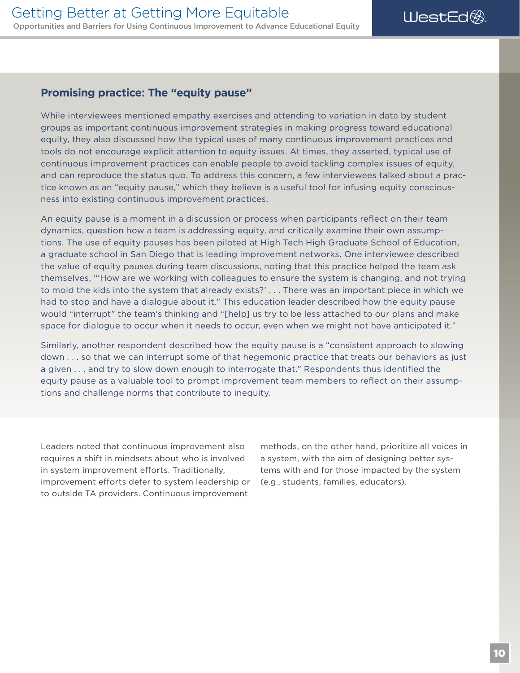#### **Promising practice: The "equity pause"**

While interviewees mentioned empathy exercises and attending to variation in data by student groups as important continuous improvement strategies in making progress toward educational equity, they also discussed how the typical uses of many continuous improvement practices and tools do not encourage explicit attention to equity issues. At times, they asserted, typical use of continuous improvement practices can enable people to avoid tackling complex issues of equity, and can reproduce the status quo. To address this concern, a few interviewees talked about a practice known as an "equity pause," which they believe is a useful tool for infusing equity consciousness into existing continuous improvement practices.

An equity pause is a moment in a discussion or process when participants refect on their team dynamics, question how a team is addressing equity, and critically examine their own assumptions. The use of equity pauses has been piloted at High Tech High Graduate School of Education, a graduate school in San Diego that is leading improvement networks. One interviewee described the value of equity pauses during team discussions, noting that this practice helped the team ask themselves, "'How are we working with colleagues to ensure the system is changing, and not trying to mold the kids into the system that already exists?' . . . There was an important piece in which we had to stop and have a dialogue about it." This education leader described how the equity pause would "interrupt" the team's thinking and "[help] us try to be less attached to our plans and make space for dialogue to occur when it needs to occur, even when we might not have anticipated it."

Similarly, another respondent described how the equity pause is a "consistent approach to slowing down . . . so that we can interrupt some of that hegemonic practice that treats our behaviors as just a given . . . and try to slow down enough to interrogate that." Respondents thus identifed the equity pause as a valuable tool to prompt improvement team members to refect on their assumptions and challenge norms that contribute to inequity.

Leaders noted that continuous improvement also requires a shift in mindsets about who is involved in system improvement efforts. Traditionally, improvement efforts defer to system leadership or to outside TA providers. Continuous improvement

methods, on the other hand, prioritize all voices in a system, with the aim of designing better systems with and for those impacted by the system (e.g., students, families, educators).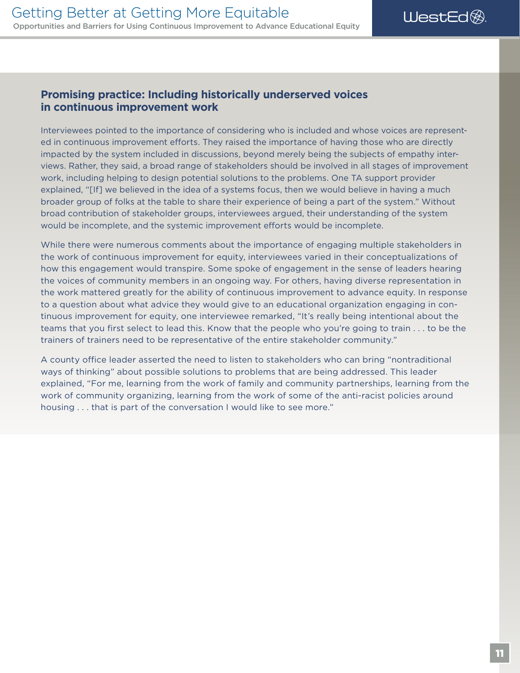#### **Promising practice: Including historically underserved voices in continuous improvement work**

Interviewees pointed to the importance of considering who is included and whose voices are represented in continuous improvement efforts. They raised the importance of having those who are directly impacted by the system included in discussions, beyond merely being the subjects of empathy interviews. Rather, they said, a broad range of stakeholders should be involved in all stages of improvement work, including helping to design potential solutions to the problems. One TA support provider explained, "[If] we believed in the idea of a systems focus, then we would believe in having a much broader group of folks at the table to share their experience of being a part of the system." Without broad contribution of stakeholder groups, interviewees argued, their understanding of the system would be incomplete, and the systemic improvement eforts would be incomplete.

While there were numerous comments about the importance of engaging multiple stakeholders in the work of continuous improvement for equity, interviewees varied in their conceptualizations of how this engagement would transpire. Some spoke of engagement in the sense of leaders hearing the voices of community members in an ongoing way. For others, having diverse representation in the work mattered greatly for the ability of continuous improvement to advance equity. In response to a question about what advice they would give to an educational organization engaging in continuous improvement for equity, one interviewee remarked, "It's really being intentional about the teams that you frst select to lead this. Know that the people who you're going to train . . . to be the trainers of trainers need to be representative of the entire stakeholder community."

A county office leader asserted the need to listen to stakeholders who can bring "nontraditional ways of thinking" about possible solutions to problems that are being addressed. This leader explained, "For me, learning from the work of family and community partnerships, learning from the work of community organizing, learning from the work of some of the anti-racist policies around housing . . . that is part of the conversation I would like to see more."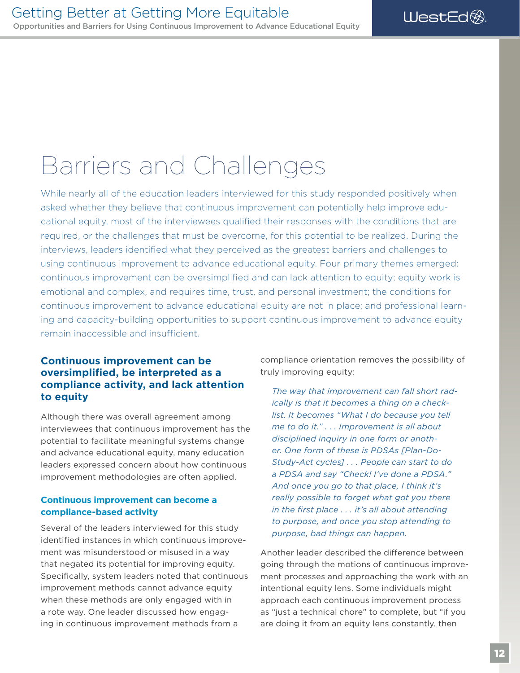### <span id="page-15-0"></span>Barriers and Challenges

While nearly all of the education leaders interviewed for this study responded positively when asked whether they believe that continuous improvement can potentially help improve educational equity, most of the interviewees qualifed their responses with the conditions that are required, or the challenges that must be overcome, for this potential to be realized. During the interviews, leaders identifed what they perceived as the greatest barriers and challenges to using continuous improvement to advance educational equity. Four primary themes emerged: continuous improvement can be oversimplifed and can lack attention to equity; equity work is emotional and complex, and requires time, trust, and personal investment; the conditions for continuous improvement to advance educational equity are not in place; and professional learning and capacity-building opportunities to support continuous improvement to advance equity remain inaccessible and insufficient.

#### **Continuous improvement can be oversimplifed, be interpreted as a compliance activity, and lack attention to equity**

Although there was overall agreement among interviewees that continuous improvement has the potential to facilitate meaningful systems change and advance educational equity, many education leaders expressed concern about how continuous improvement methodologies are often applied.

#### **Continuous improvement can become a compliance-based activity**

Several of the leaders interviewed for this study identifed instances in which continuous improvement was misunderstood or misused in a way that negated its potential for improving equity. Specifically, system leaders noted that continuous improvement methods cannot advance equity when these methods are only engaged with in a rote way. One leader discussed how engaging in continuous improvement methods from a

compliance orientation removes the possibility of truly improving equity:

*The way that improvement can fall short radically is that it becomes a thing on a checklist. It becomes "What I do because you tell me to do it." . . . Improvement is all about disciplined inquiry in one form or another. One form of these is PDSAs [Plan-Do-Study-Act cycles] . . . People can start to do a PDSA and say "Check! I've done a PDSA." And once you go to that place, I think it's really possible to forget what got you there in the frst place . . . it's all about attending to purpose, and once you stop attending to purpose, bad things can happen.* 

Another leader described the diference between going through the motions of continuous improvement processes and approaching the work with an intentional equity lens. Some individuals might approach each continuous improvement process as "just a technical chore" to complete, but "if you are doing it from an equity lens constantly, then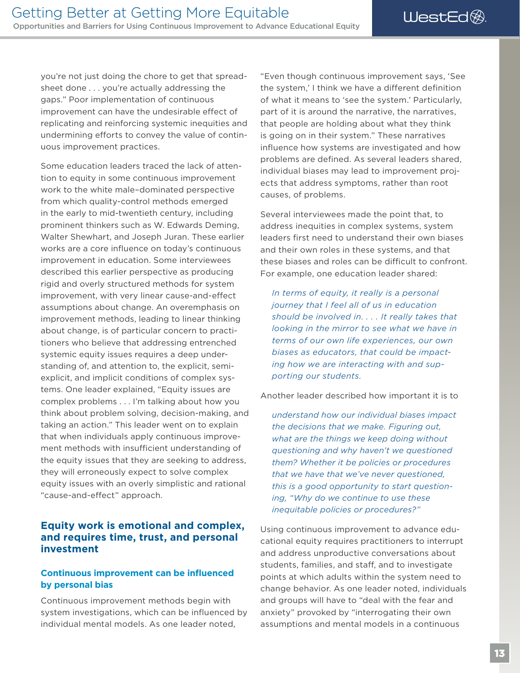<span id="page-16-0"></span>you're not just doing the chore to get that spreadsheet done . . . you're actually addressing the gaps." Poor implementation of continuous improvement can have the undesirable effect of replicating and reinforcing systemic inequities and undermining efforts to convey the value of continuous improvement practices.

Some education leaders traced the lack of attention to equity in some continuous improvement work to the white male–dominated perspective from which quality-control methods emerged in the early to mid-twentieth century, including prominent thinkers such as W. Edwards Deming, Walter Shewhart, and Joseph Juran. These earlier works are a core infuence on today's continuous improvement in education. Some interviewees described this earlier perspective as producing rigid and overly structured methods for system improvement, with very linear cause-and-efect assumptions about change. An overemphasis on improvement methods, leading to linear thinking about change, is of particular concern to practitioners who believe that addressing entrenched systemic equity issues requires a deep understanding of, and attention to, the explicit, semiexplicit, and implicit conditions of complex systems. One leader explained, "Equity issues are complex problems . . . I'm talking about how you think about problem solving, decision-making, and taking an action." This leader went on to explain that when individuals apply continuous improvement methods with insufficient understanding of the equity issues that they are seeking to address, they will erroneously expect to solve complex equity issues with an overly simplistic and rational "cause-and-efect" approach.

#### **Equity work is emotional and complex, and requires time, trust, and personal investment**

#### **Continuous improvement can be infuenced by personal bias**

Continuous improvement methods begin with system investigations, which can be infuenced by individual mental models. As one leader noted,

"Even though continuous improvement says, 'See the system,' I think we have a different definition of what it means to 'see the system.' Particularly, part of it is around the narrative, the narratives, that people are holding about what they think is going on in their system." These narratives infuence how systems are investigated and how problems are defned. As several leaders shared, individual biases may lead to improvement projects that address symptoms, rather than root causes, of problems.

Several interviewees made the point that, to address inequities in complex systems, system leaders first need to understand their own biases and their own roles in these systems, and that these biases and roles can be difficult to confront. For example, one education leader shared:

*In terms of equity, it really is a personal journey that I feel all of us in education should be involved in. . . . It really takes that looking in the mirror to see what we have in terms of our own life experiences, our own biases as educators, that could be impacting how we are interacting with and supporting our students.* 

Another leader described how important it is to

*understand how our individual biases impact the decisions that we make. Figuring out, what are the things we keep doing without questioning and why haven't we questioned them? Whether it be policies or procedures that we have that we've never questioned, this is a good opportunity to start questioning, "Why do we continue to use these inequitable policies or procedures?"* 

Using continuous improvement to advance educational equity requires practitioners to interrupt and address unproductive conversations about students, families, and staff, and to investigate points at which adults within the system need to change behavior. As one leader noted, individuals and groups will have to "deal with the fear and anxiety" provoked by "interrogating their own assumptions and mental models in a continuous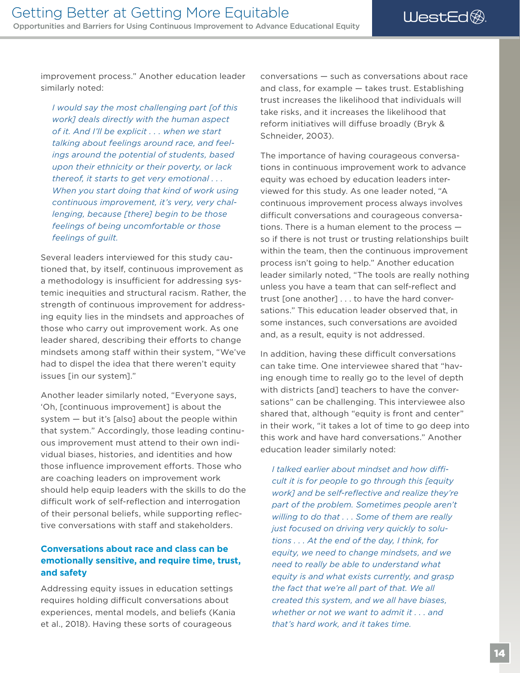WestEd<sup>®</sup>

<span id="page-17-0"></span>improvement process." Another education leader similarly noted:

*I would say the most challenging part [of this work] deals directly with the human aspect of it. And I'll be explicit . . . when we start talking about feelings around race, and feelings around the potential of students, based upon their ethnicity or their poverty, or lack thereof, it starts to get very emotional . . . When you start doing that kind of work using continuous improvement, it's very, very challenging, because [there] begin to be those feelings of being uncomfortable or those feelings of guilt.* 

Several leaders interviewed for this study cautioned that, by itself, continuous improvement as a methodology is insufficient for addressing systemic inequities and structural racism. Rather, the strength of continuous improvement for addressing equity lies in the mindsets and approaches of those who carry out improvement work. As one leader shared, describing their efforts to change mindsets among staff within their system. "We've had to dispel the idea that there weren't equity issues [in our system]."

Another leader similarly noted, "Everyone says, 'Oh, [continuous improvement] is about the system — but it's [also] about the people within that system." Accordingly, those leading continuous improvement must attend to their own individual biases, histories, and identities and how those influence improvement efforts. Those who are coaching leaders on improvement work should help equip leaders with the skills to do the difficult work of self-reflection and interrogation of their personal beliefs, while supporting reflective conversations with staff and stakeholders.

#### **Conversations about race and class can be emotionally sensitive, and require time, trust, and safety**

Addressing equity issues in education settings requires holding difficult conversations about experiences, mental models, and beliefs (Kania et al., 2018). Having these sorts of courageous

conversations — such as conversations about race and class, for example — takes trust. Establishing trust increases the likelihood that individuals will take risks, and it increases the likelihood that reform initiatives will diffuse broadly (Bryk & Schneider, 2003).

The importance of having courageous conversations in continuous improvement work to advance equity was echoed by education leaders interviewed for this study. As one leader noted, "A continuous improvement process always involves difficult conversations and courageous conversations. There is a human element to the process so if there is not trust or trusting relationships built within the team, then the continuous improvement process isn't going to help." Another education leader similarly noted, "The tools are really nothing unless you have a team that can self-refect and trust [one another] . . . to have the hard conversations." This education leader observed that, in some instances, such conversations are avoided and, as a result, equity is not addressed.

In addition, having these difficult conversations can take time. One interviewee shared that "having enough time to really go to the level of depth with districts [and] teachers to have the conversations" can be challenging. This interviewee also shared that, although "equity is front and center" in their work, "it takes a lot of time to go deep into this work and have hard conversations." Another education leader similarly noted:

I talked earlier about mindset and how diffi*cult it is for people to go through this [equity work] and be self-refective and realize they're part of the problem. Sometimes people aren't willing to do that . . . Some of them are really just focused on driving very quickly to solutions . . . At the end of the day, I think, for equity, we need to change mindsets, and we need to really be able to understand what equity is and what exists currently, and grasp the fact that we're all part of that. We all created this system, and we all have biases, whether or not we want to admit it . . . and that's hard work, and it takes time.*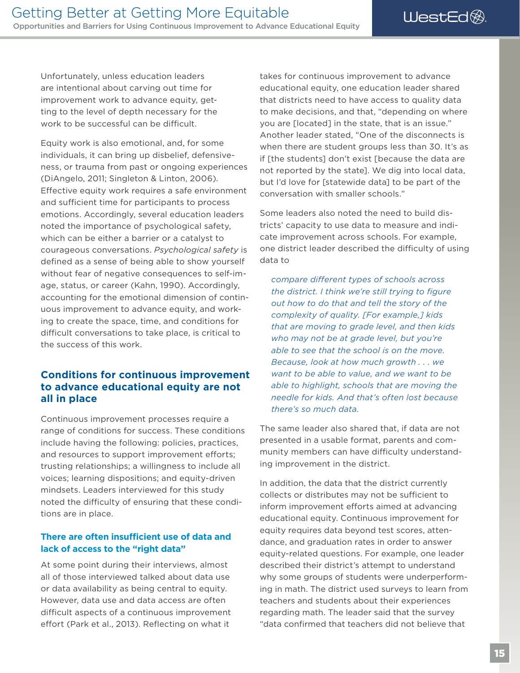<span id="page-18-0"></span>Unfortunately, unless education leaders are intentional about carving out time for improvement work to advance equity, getting to the level of depth necessary for the work to be successful can be difficult.

Equity work is also emotional, and, for some individuals, it can bring up disbelief, defensiveness, or trauma from past or ongoing experiences (DiAngelo, 2011; Singleton & Linton, 2006). Efective equity work requires a safe environment and sufficient time for participants to process emotions. Accordingly, several education leaders noted the importance of psychological safety, which can be either a barrier or a catalyst to courageous conversations. *Psychological safety* is defined as a sense of being able to show yourself without fear of negative consequences to self-image, status, or career (Kahn, 1990). Accordingly, accounting for the emotional dimension of continuous improvement to advance equity, and working to create the space, time, and conditions for difficult conversations to take place, is critical to the success of this work.

#### **Conditions for continuous improvement to advance educational equity are not all in place**

Continuous improvement processes require a range of conditions for success. These conditions include having the following: policies, practices, and resources to support improvement efforts; trusting relationships; a willingness to include all voices; learning dispositions; and equity-driven mindsets. Leaders interviewed for this study noted the difficulty of ensuring that these conditions are in place.

#### **There are often insufficient use of data and lack of access to the "right data"**

At some point during their interviews, almost all of those interviewed talked about data use or data availability as being central to equity. However, data use and data access are often difficult aspects of a continuous improvement effort (Park et al., 2013). Reflecting on what it

takes for continuous improvement to advance educational equity, one education leader shared that districts need to have access to quality data to make decisions, and that, "depending on where you are [located] in the state, that is an issue." Another leader stated, "One of the disconnects is when there are student groups less than 30. It's as if [the students] don't exist [because the data are not reported by the state]. We dig into local data, but I'd love for [statewide data] to be part of the conversation with smaller schools."

Some leaders also noted the need to build districts' capacity to use data to measure and indicate improvement across schools. For example, one district leader described the difficulty of using data to

*compare diferent types of schools across the district. I think we're still trying to figure out how to do that and tell the story of the complexity of quality. [For example,] kids that are moving to grade level, and then kids who may not be at grade level, but you're able to see that the school is on the move. Because, look at how much growth . . . we want to be able to value, and we want to be able to highlight, schools that are moving the needle for kids. And that's often lost because there's so much data.* 

The same leader also shared that, if data are not presented in a usable format, parents and community members can have difficulty understanding improvement in the district.

In addition, the data that the district currently collects or distributes may not be sufficient to inform improvement efforts aimed at advancing educational equity. Continuous improvement for equity requires data beyond test scores, attendance, and graduation rates in order to answer equity-related questions. For example, one leader described their district's attempt to understand why some groups of students were underperforming in math. The district used surveys to learn from teachers and students about their experiences regarding math. The leader said that the survey "data confrmed that teachers did not believe that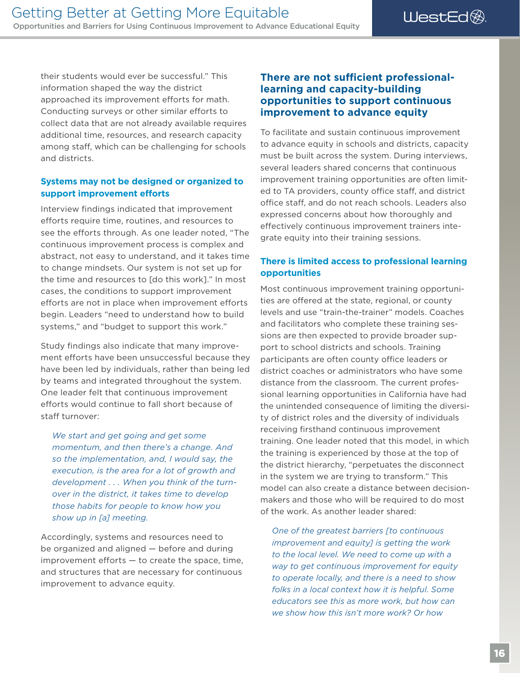<span id="page-19-0"></span>their students would ever be successful." This information shaped the way the district approached its improvement efforts for math. Conducting surveys or other similar efforts to collect data that are not already available requires additional time, resources, and research capacity among staff, which can be challenging for schools and districts.

#### **Systems may not be designed or organized to support improvement efforts**

Interview fndings indicated that improvement efforts require time, routines, and resources to see the efforts through. As one leader noted, "The continuous improvement process is complex and abstract, not easy to understand, and it takes time to change mindsets. Our system is not set up for the time and resources to [do this work]." In most cases, the conditions to support improvement efforts are not in place when improvement efforts begin. Leaders "need to understand how to build systems," and "budget to support this work."

Study findings also indicate that many improvement efforts have been unsuccessful because they have been led by individuals, rather than being led by teams and integrated throughout the system. One leader felt that continuous improvement eforts would continue to fall short because of staff turnover:

*We start and get going and get some momentum, and then there's a change. And so the implementation, and, I would say, the execution, is the area for a lot of growth and development . . . When you think of the turnover in the district, it takes time to develop those habits for people to know how you show up in [a] meeting.* 

Accordingly, systems and resources need to be organized and aligned — before and during  $improvement$  efforts  $-$  to create the space, time, and structures that are necessary for continuous improvement to advance equity.

#### **There are not sufficient professionallearning and capacity-building opportunities to support continuous improvement to advance equity**

To facilitate and sustain continuous improvement to advance equity in schools and districts, capacity must be built across the system. During interviews, several leaders shared concerns that continuous improvement training opportunities are often limited to TA providers, county office staff, and district office staff, and do not reach schools. Leaders also expressed concerns about how thoroughly and efectively continuous improvement trainers integrate equity into their training sessions.

#### **There is limited access to professional learning opportunities**

Most continuous improvement training opportunities are offered at the state, regional, or county levels and use "train-the-trainer" models. Coaches and facilitators who complete these training sessions are then expected to provide broader support to school districts and schools. Training participants are often county office leaders or district coaches or administrators who have some distance from the classroom. The current professional learning opportunities in California have had the unintended consequence of limiting the diversity of district roles and the diversity of individuals receiving firsthand continuous improvement training. One leader noted that this model, in which the training is experienced by those at the top of the district hierarchy, "perpetuates the disconnect in the system we are trying to transform." This model can also create a distance between decisionmakers and those who will be required to do most of the work. As another leader shared:

*One of the greatest barriers [to continuous improvement and equity] is getting the work to the local level. We need to come up with a way to get continuous improvement for equity to operate locally, and there is a need to show folks in a local context how it is helpful. Some educators see this as more work, but how can we show how this isn't more work? Or how*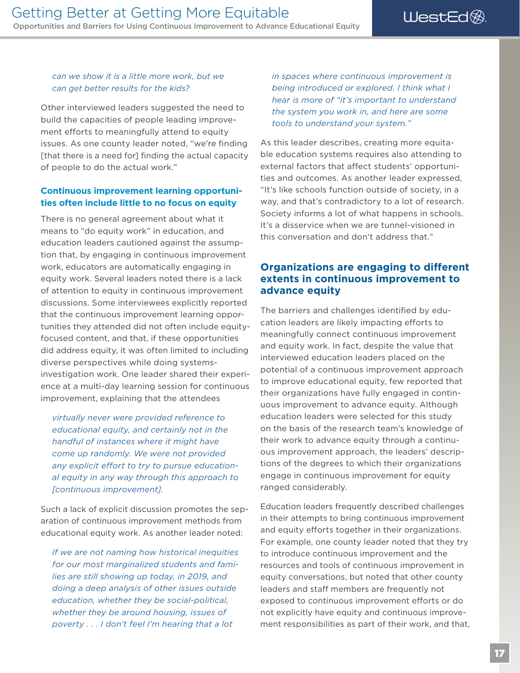#### <span id="page-20-0"></span>*can we show it is a little more work, but we can get better results for the kids?*

Other interviewed leaders suggested the need to build the capacities of people leading improvement efforts to meaningfully attend to equity issues. As one county leader noted, "we're fnding [that there is a need for] finding the actual capacity of people to do the actual work."

#### **Continuous improvement learning opportunities often include little to no focus on equity**

There is no general agreement about what it means to "do equity work" in education, and education leaders cautioned against the assumption that, by engaging in continuous improvement work, educators are automatically engaging in equity work. Several leaders noted there is a lack of attention to equity in continuous improvement discussions. Some interviewees explicitly reported that the continuous improvement learning opportunities they attended did not often include equityfocused content, and that, if these opportunities did address equity, it was often limited to including diverse perspectives while doing systemsinvestigation work. One leader shared their experience at a multi-day learning session for continuous improvement, explaining that the attendees

*virtually never were provided reference to educational equity, and certainly not in the handful of instances where it might have come up randomly. We were not provided*  any explicit effort to try to pursue education*al equity in any way through this approach to [continuous improvement].* 

Such a lack of explicit discussion promotes the separation of continuous improvement methods from educational equity work. As another leader noted:

*If we are not naming how historical inequities for our most marginalized students and families are still showing up today, in 2019, and doing a deep analysis of other issues outside education, whether they be social-political, whether they be around housing, issues of poverty . . . I don't feel I'm hearing that a lot* 

*in spaces where continuous improvement is being introduced or explored. I think what I hear is more of "it's important to understand the system you work in, and here are some tools to understand your system."* 

As this leader describes, creating more equitable education systems requires also attending to external factors that affect students' opportunities and outcomes. As another leader expressed, "It's like schools function outside of society, in a way, and that's contradictory to a lot of research. Society informs a lot of what happens in schools. It's a disservice when we are tunnel-visioned in this conversation and don't address that."

#### **Organizations are engaging to diferent extents in continuous improvement to advance equity**

The barriers and challenges identified by education leaders are likely impacting efforts to meaningfully connect continuous improvement and equity work. In fact, despite the value that interviewed education leaders placed on the potential of a continuous improvement approach to improve educational equity, few reported that their organizations have fully engaged in continuous improvement to advance equity. Although education leaders were selected for this study on the basis of the research team's knowledge of their work to advance equity through a continuous improvement approach, the leaders' descriptions of the degrees to which their organizations engage in continuous improvement for equity ranged considerably.

Education leaders frequently described challenges in their attempts to bring continuous improvement and equity efforts together in their organizations. For example, one county leader noted that they try to introduce continuous improvement and the resources and tools of continuous improvement in equity conversations, but noted that other county leaders and staff members are frequently not exposed to continuous improvement efforts or do not explicitly have equity and continuous improvement responsibilities as part of their work, and that,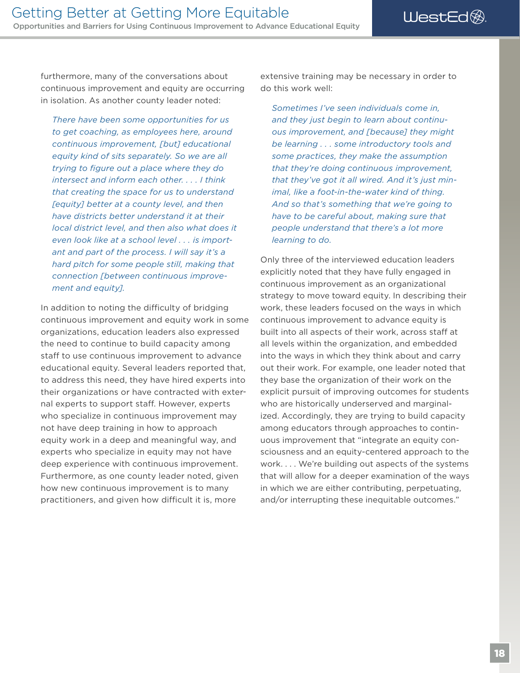furthermore, many of the conversations about continuous improvement and equity are occurring in isolation. As another county leader noted:

*There have been some opportunities for us to get coaching, as employees here, around continuous improvement, [but] educational equity kind of sits separately. So we are all trying to fgure out a place where they do intersect and inform each other. . . . I think that creating the space for us to understand [equity] better at a county level, and then have districts better understand it at their local district level, and then also what does it even look like at a school level . . . is important and part of the process. I will say it's a hard pitch for some people still, making that connection [between continuous improvement and equity].* 

In addition to noting the difficulty of bridging continuous improvement and equity work in some organizations, education leaders also expressed the need to continue to build capacity among staff to use continuous improvement to advance educational equity. Several leaders reported that, to address this need, they have hired experts into their organizations or have contracted with external experts to support staff. However, experts who specialize in continuous improvement may not have deep training in how to approach equity work in a deep and meaningful way, and experts who specialize in equity may not have deep experience with continuous improvement. Furthermore, as one county leader noted, given how new continuous improvement is to many practitioners, and given how difficult it is, more

extensive training may be necessary in order to do this work well:

*Sometimes I've seen individuals come in, and they just begin to learn about continuous improvement, and [because] they might be learning . . . some introductory tools and some practices, they make the assumption that they're doing continuous improvement, that they've got it all wired. And it's just minimal, like a foot-in-the-water kind of thing. And so that's something that we're going to have to be careful about, making sure that people understand that there's a lot more learning to do.* 

Only three of the interviewed education leaders explicitly noted that they have fully engaged in continuous improvement as an organizational strategy to move toward equity. In describing their work, these leaders focused on the ways in which continuous improvement to advance equity is built into all aspects of their work, across staff at all levels within the organization, and embedded into the ways in which they think about and carry out their work. For example, one leader noted that they base the organization of their work on the explicit pursuit of improving outcomes for students who are historically underserved and marginalized. Accordingly, they are trying to build capacity among educators through approaches to continuous improvement that "integrate an equity consciousness and an equity-centered approach to the work. . . . We're building out aspects of the systems that will allow for a deeper examination of the ways in which we are either contributing, perpetuating, and/or interrupting these inequitable outcomes."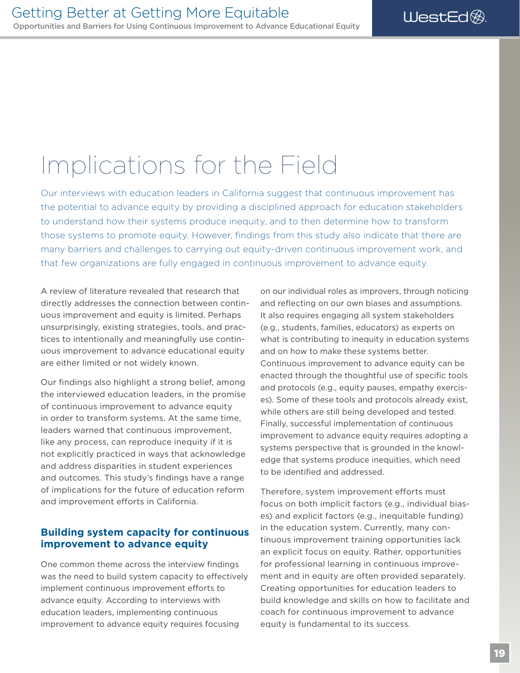### <span id="page-22-0"></span>Implications for the Field

Our interviews with education leaders in California suggest that continuous improvement has the potential to advance equity by providing a disciplined approach for education stakeholders to understand how their systems produce inequity, and to then determine how to transform those systems to promote equity. However, fndings from this study also indicate that there are many barriers and challenges to carrying out equity-driven continuous improvement work, and that few organizations are fully engaged in continuous improvement to advance equity.

A review of literature revealed that research that directly addresses the connection between continuous improvement and equity is limited. Perhaps unsurprisingly, existing strategies, tools, and practices to intentionally and meaningfully use continuous improvement to advance educational equity are either limited or not widely known.

Our findings also highlight a strong belief, among the interviewed education leaders, in the promise of continuous improvement to advance equity in order to transform systems. At the same time, leaders warned that continuous improvement, like any process, can reproduce inequity if it is not explicitly practiced in ways that acknowledge and address disparities in student experiences and outcomes. This study's findings have a range of implications for the future of education reform and improvement efforts in California.

#### **Building system capacity for continuous improvement to advance equity**

One common theme across the interview findings was the need to build system capacity to effectively implement continuous improvement efforts to advance equity. According to interviews with education leaders, implementing continuous improvement to advance equity requires focusing

on our individual roles as improvers, through noticing and refecting on our own biases and assumptions. It also requires engaging all system stakeholders (e.g., students, families, educators) as experts on what is contributing to inequity in education systems and on how to make these systems better. Continuous improvement to advance equity can be enacted through the thoughtful use of specific tools and protocols (e.g., equity pauses, empathy exercises). Some of these tools and protocols already exist, while others are still being developed and tested. Finally, successful implementation of continuous improvement to advance equity requires adopting a systems perspective that is grounded in the knowledge that systems produce inequities, which need to be identifed and addressed.

Therefore, system improvement efforts must focus on both implicit factors (e.g., individual biases) and explicit factors (e.g., inequitable funding) in the education system. Currently, many continuous improvement training opportunities lack an explicit focus on equity. Rather, opportunities for professional learning in continuous improvement and in equity are often provided separately. Creating opportunities for education leaders to build knowledge and skills on how to facilitate and coach for continuous improvement to advance equity is fundamental to its success.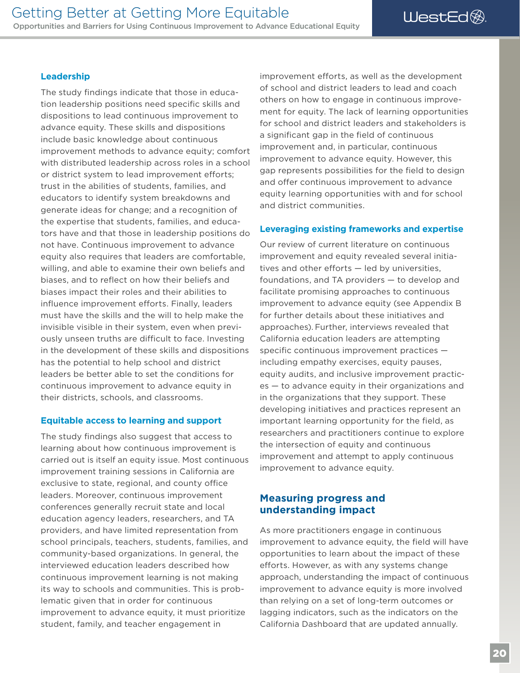#### <span id="page-23-0"></span>**Leadership**

The study findings indicate that those in education leadership positions need specific skills and dispositions to lead continuous improvement to advance equity. These skills and dispositions include basic knowledge about continuous improvement methods to advance equity; comfort with distributed leadership across roles in a school or district system to lead improvement efforts; trust in the abilities of students, families, and educators to identify system breakdowns and generate ideas for change; and a recognition of the expertise that students, families, and educators have and that those in leadership positions do not have. Continuous improvement to advance equity also requires that leaders are comfortable, willing, and able to examine their own beliefs and biases, and to refect on how their beliefs and biases impact their roles and their abilities to influence improvement efforts. Finally, leaders must have the skills and the will to help make the invisible visible in their system, even when previously unseen truths are difficult to face. Investing in the development of these skills and dispositions has the potential to help school and district leaders be better able to set the conditions for continuous improvement to advance equity in their districts, schools, and classrooms.

#### **Equitable access to learning and support**

The study findings also suggest that access to learning about how continuous improvement is carried out is itself an equity issue. Most continuous improvement training sessions in California are exclusive to state, regional, and county office leaders. Moreover, continuous improvement conferences generally recruit state and local education agency leaders, researchers, and TA providers, and have limited representation from school principals, teachers, students, families, and community-based organizations. In general, the interviewed education leaders described how continuous improvement learning is not making its way to schools and communities. This is problematic given that in order for continuous improvement to advance equity, it must prioritize student, family, and teacher engagement in

improvement efforts, as well as the development of school and district leaders to lead and coach others on how to engage in continuous improvement for equity. The lack of learning opportunities for school and district leaders and stakeholders is a significant gap in the field of continuous improvement and, in particular, continuous improvement to advance equity. However, this gap represents possibilities for the field to design and offer continuous improvement to advance equity learning opportunities with and for school and district communities.

#### **Leveraging existing frameworks and expertise**

Our review of current literature on continuous improvement and equity revealed several initiatives and other efforts  $-$  led by universities, foundations, and TA providers — to develop and facilitate promising approaches to continuous improvement to advance equity (see Appendix B for further details about these initiatives and approaches). Further, interviews revealed that California education leaders are attempting specific continuous improvement practices  $$ including empathy exercises, equity pauses, equity audits, and inclusive improvement practices — to advance equity in their organizations and in the organizations that they support. These developing initiatives and practices represent an important learning opportunity for the field, as researchers and practitioners continue to explore the intersection of equity and continuous improvement and attempt to apply continuous improvement to advance equity.

#### **Measuring progress and understanding impact**

As more practitioners engage in continuous improvement to advance equity, the field will have opportunities to learn about the impact of these efforts. However, as with any systems change approach, understanding the impact of continuous improvement to advance equity is more involved than relying on a set of long-term outcomes or lagging indicators, such as the indicators on the California Dashboard that are updated annually.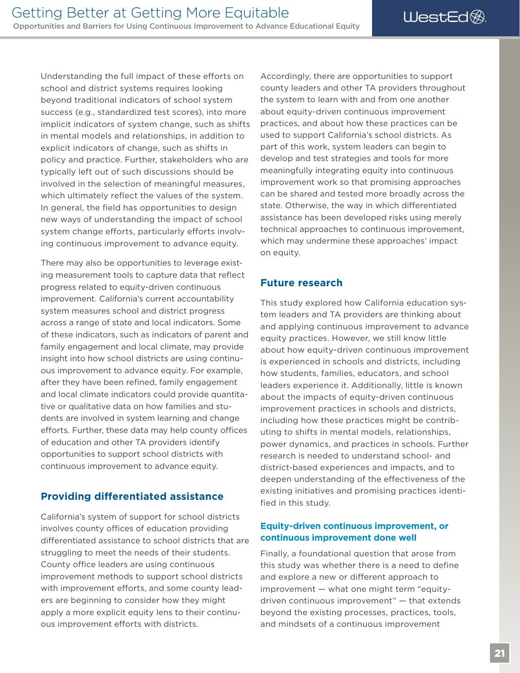<span id="page-24-0"></span>Understanding the full impact of these efforts on school and district systems requires looking beyond traditional indicators of school system success (e.g., standardized test scores), into more implicit indicators of system change, such as shifts in mental models and relationships, in addition to explicit indicators of change, such as shifts in policy and practice. Further, stakeholders who are typically left out of such discussions should be involved in the selection of meaningful measures, which ultimately reflect the values of the system. In general, the field has opportunities to design new ways of understanding the impact of school system change efforts, particularly efforts involving continuous improvement to advance equity.

There may also be opportunities to leverage existing measurement tools to capture data that refect progress related to equity-driven continuous improvement. California's current accountability system measures school and district progress across a range of state and local indicators. Some of these indicators, such as indicators of parent and family engagement and local climate, may provide insight into how school districts are using continuous improvement to advance equity. For example, after they have been refined, family engagement and local climate indicators could provide quantitative or qualitative data on how families and students are involved in system learning and change efforts. Further, these data may help county offices of education and other TA providers identify opportunities to support school districts with continuous improvement to advance equity.

#### **Providing diferentiated assistance**

California's system of support for school districts involves county offices of education providing diferentiated assistance to school districts that are struggling to meet the needs of their students. County office leaders are using continuous improvement methods to support school districts with improvement efforts, and some county leaders are beginning to consider how they might apply a more explicit equity lens to their continuous improvement efforts with districts.

Accordingly, there are opportunities to support county leaders and other TA providers throughout the system to learn with and from one another about equity-driven continuous improvement practices, and about how these practices can be used to support California's school districts. As part of this work, system leaders can begin to develop and test strategies and tools for more meaningfully integrating equity into continuous improvement work so that promising approaches can be shared and tested more broadly across the state. Otherwise, the way in which diferentiated assistance has been developed risks using merely technical approaches to continuous improvement, which may undermine these approaches' impact on equity.

#### **Future research**

This study explored how California education system leaders and TA providers are thinking about and applying continuous improvement to advance equity practices. However, we still know little about how equity-driven continuous improvement is experienced in schools and districts, including how students, families, educators, and school leaders experience it. Additionally, little is known about the impacts of equity-driven continuous improvement practices in schools and districts, including how these practices might be contributing to shifts in mental models, relationships, power dynamics, and practices in schools. Further research is needed to understand school- and district-based experiences and impacts, and to deepen understanding of the efectiveness of the existing initiatives and promising practices identified in this study.

#### **Equity-driven continuous improvement, or continuous improvement done well**

Finally, a foundational question that arose from this study was whether there is a need to define and explore a new or diferent approach to improvement — what one might term "equitydriven continuous improvement" — that extends beyond the existing processes, practices, tools, and mindsets of a continuous improvement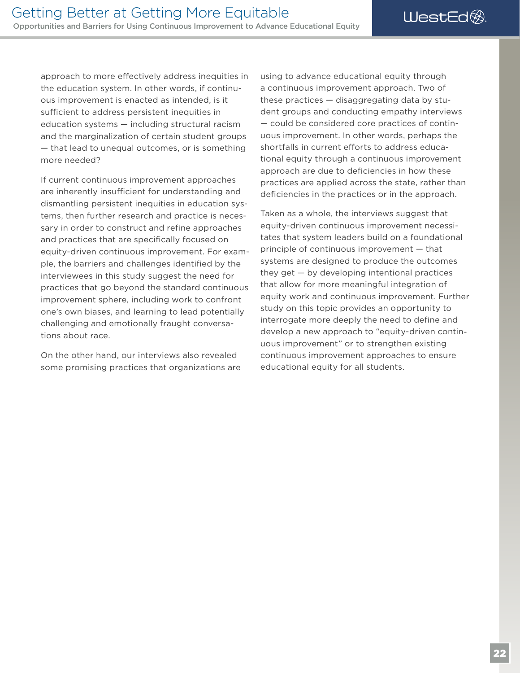approach to more efectively address inequities in the education system. In other words, if continuous improvement is enacted as intended, is it sufficient to address persistent inequities in education systems — including structural racism and the marginalization of certain student groups — that lead to unequal outcomes, or is something more needed?

If current continuous improvement approaches are inherently insufficient for understanding and dismantling persistent inequities in education systems, then further research and practice is necessary in order to construct and refine approaches and practices that are specifically focused on equity-driven continuous improvement. For example, the barriers and challenges identifed by the interviewees in this study suggest the need for practices that go beyond the standard continuous improvement sphere, including work to confront one's own biases, and learning to lead potentially challenging and emotionally fraught conversations about race.

On the other hand, our interviews also revealed some promising practices that organizations are using to advance educational equity through a continuous improvement approach. Two of these practices — disaggregating data by student groups and conducting empathy interviews — could be considered core practices of continuous improvement. In other words, perhaps the shortfalls in current efforts to address educational equity through a continuous improvement approach are due to deficiencies in how these practices are applied across the state, rather than deficiencies in the practices or in the approach.

Taken as a whole, the interviews suggest that equity-driven continuous improvement necessitates that system leaders build on a foundational principle of continuous improvement — that systems are designed to produce the outcomes they get — by developing intentional practices that allow for more meaningful integration of equity work and continuous improvement. Further study on this topic provides an opportunity to interrogate more deeply the need to define and develop a new approach to "equity-driven continuous improvement" or to strengthen existing continuous improvement approaches to ensure educational equity for all students.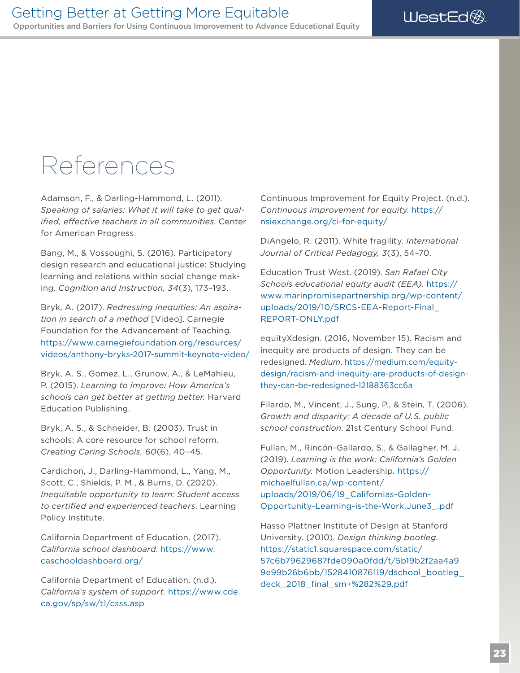### <span id="page-26-0"></span>References

Adamson, F., & Darling-Hammond, L. (2011). *Speaking of salaries: What it will take to get qualifed, efective teachers in all communities*. Center for American Progress.

Bang, M., & Vossoughi, S. (2016). Participatory design research and educational justice: Studying learning and relations within social change making. *Cognition and Instruction, 34*(3), 173–193.

[videos/anthony-bryks-2017-summit-keynote-video/](https://www.carnegiefoundation.org/resources/videos/anthony-bryks-2017-summit-keynote-video/)<br>Bryk, A. S., Gomez, L., Grunow, A., & LeMahieu, Bryk, A. (2017). *Redressing inequities: An aspiration in search of a method* [Video]. Carnegie Foundation for the Advancement of Teaching. [https://www.carnegiefoundation.org/resources/](https://www.carnegiefoundation.org/resources/videos/anthony-bryks-2017-summit-keynote-video/)

P. (2015). *Learning to improve: How America's schools can get better at getting better.* Harvard Education Publishing.

Bryk, A. S., & Schneider, B. (2003). Trust in schools: A core resource for school reform. *Creating Caring Schools, 60*(6), 40–45.

Cardichon, J., Darling-Hammond, L., Yang, M., Scott, C., Shields, P. M., & Burns, D. (2020). *Inequitable opportunity to learn: Student access to certifed and experienced teachers*. Learning Policy Institute.

California Department of Education. (2017). *California school dashboard*. [https://www.](https://www.caschooldashboard.org/) [caschooldashboard.org/](https://www.caschooldashboard.org/)

California Department of Education. (n.d.). *California's system of support.* [https://www.cde.](https://www.cde.ca.gov/sp/sw/t1/csss.asp) [ca.gov/sp/sw/t1/csss.asp](https://www.cde.ca.gov/sp/sw/t1/csss.asp)

Continuous Improvement for Equity Project. (n.d.). *Continuous improvement for equity*. [https://](https://nsiexchange.org/ci-for-equity/)  [nsiexchange.org/ci-for-equity/](https://nsiexchange.org/ci-for-equity/)

DiAngelo, R. (2011). White fragility. *International Journal of Critical Pedagogy, 3*(3), 54–70.

Education Trust West. (2019). *San Rafael City Schools educational equity audit (EEA)*. [https://](https://www.marinpromisepartnership.org/wp-content/uploads/2019/10/SRCS-EEA-Report-Final_REPORT-ONLY.pdf)  [www.marinpromisepartnership.org/wp-content/](https://www.marinpromisepartnership.org/wp-content/uploads/2019/10/SRCS-EEA-Report-Final_REPORT-ONLY.pdf) [uploads/2019/10/SRCS-EEA-Report-Final\\_](https://www.marinpromisepartnership.org/wp-content/uploads/2019/10/SRCS-EEA-Report-Final_REPORT-ONLY.pdf)  [REPORT-ONLY.pdf](https://www.marinpromisepartnership.org/wp-content/uploads/2019/10/SRCS-EEA-Report-Final_REPORT-ONLY.pdf)

equityXdesign. (2016, November 15). Racism and inequity are products of design. They can be redesigned. *Medium*. [https://medium.com/equity](https://medium.com/equity-design/racism-and-inequity-are-products-of-design-they-can-be-redesigned-12188363cc6a)[design/racism-and-inequity-are-products-of-design](https://medium.com/equity-design/racism-and-inequity-are-products-of-design-they-can-be-redesigned-12188363cc6a)[they-can-be-redesigned-12188363cc6a](https://medium.com/equity-design/racism-and-inequity-are-products-of-design-they-can-be-redesigned-12188363cc6a)

Filardo, M., Vincent, J., Sung, P., & Stein, T. (2006). *Growth and disparity: A decade of U.S. public school construction*. 21st Century School Fund.

Fullan, M., Rincón-Gallardo, S., & Gallagher, M. J. (2019). *Learning is the work: California's Golden Opportunity.* Motion Leadership*.* [https://](https://michaelfullan.ca/wp-content/uploads/2019/06/19_Californias-Golden-Opportunity-Learning-is-the-Work.June3_.pdf)  [michaelfullan.ca/wp-content/](https://michaelfullan.ca/wp-content/uploads/2019/06/19_Californias-Golden-Opportunity-Learning-is-the-Work.June3_.pdf) [uploads/2019/06/19\\_Californias-Golden-](https://michaelfullan.ca/wp-content/uploads/2019/06/19_Californias-Golden-Opportunity-Learning-is-the-Work.June3_.pdf)[Opportunity-Learning-is-the-Work.June3\\_.pdf](https://michaelfullan.ca/wp-content/uploads/2019/06/19_Californias-Golden-Opportunity-Learning-is-the-Work.June3_.pdf)

 [deck\\_2018\\_fnal\\_sm+%282%29.pdf](https://static1.squarespace.com/static/57c6b79629687fde090a0fdd/t/5b19b2f2aa4a99e99b26b6bb/1528410876119/dschool_bootleg_deck_2018_final_sm+%282%29.pdf) Hasso Plattner Institute of Design at Stanford University. (2010). *Design thinking bootleg*. [https://static1.squarespace.com/static/](https://static1.squarespace.com/static/57c6b79629687fde090a0fdd/t/5b19b2f2aa4a99e99b26b6bb/1528410876119/dschool_bootleg_deck_2018_final_sm+%282%29.pdf)  [57c6b79629687fde090a0fdd/t/5b19b2f2aa4a9](https://static1.squarespace.com/static/57c6b79629687fde090a0fdd/t/5b19b2f2aa4a99e99b26b6bb/1528410876119/dschool_bootleg_deck_2018_final_sm+%282%29.pdf)  [9e99b26b6bb/1528410876119/dschool\\_bootleg\\_](https://static1.squarespace.com/static/57c6b79629687fde090a0fdd/t/5b19b2f2aa4a99e99b26b6bb/1528410876119/dschool_bootleg_deck_2018_final_sm+%282%29.pdf)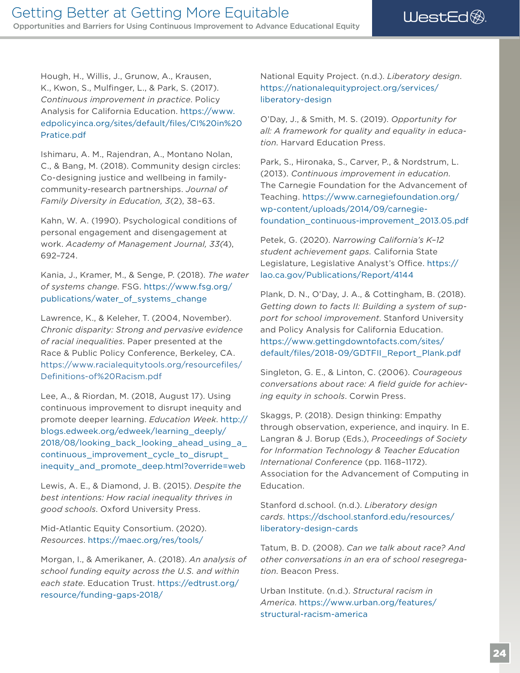Hough, H., Willis, J., Grunow, A., Krausen, K., Kwon, S., Mulfnger, L., & Park, S. (2017). *Continuous improvement in practice*. Policy Analysis for California Education. [https://www.](https://www.edpolicyinca.org/sites/default/files/CI%20in%20Pratice.pdf)  [edpolicyinca.org/sites/default/fles/CI%20in%20](https://www.edpolicyinca.org/sites/default/files/CI%20in%20Pratice.pdf) [Pratice.pdf](https://www.edpolicyinca.org/sites/default/files/CI%20in%20Pratice.pdf)

Ishimaru, A. M., Rajendran, A., Montano Nolan, C., & Bang, M. (2018). Community design circles: Co-designing justice and wellbeing in familycommunity-research partnerships. *Journal of Family Diversity in Education, 3*(2), 38–63.

Kahn, W. A. (1990). Psychological conditions of personal engagement and disengagement at work. *Academy of Management Journal, 33(*4), 692–724.

Kania, J., Kramer, M., & Senge, P. (2018). *The water of systems change*. FSG. [https://www.fsg.org/](https://www.fsg.org/publications/water_of_systems_change) [publications/water\\_of\\_systems\\_change](https://www.fsg.org/publications/water_of_systems_change) 

Lawrence, K., & Keleher, T. (2004, November). *Chronic disparity: Strong and pervasive evidence of racial inequalities*. Paper presented at the Race & Public Policy Conference, Berkeley, CA. [https://www.racialequitytools.org/resourcefles/](https://www.racialequitytools.org/resourcefiles/Definitions-of%20Racism.pdf) [Defnitions-of%20Racism.pdf](https://www.racialequitytools.org/resourcefiles/Definitions-of%20Racism.pdf)

Lee, A., & Riordan, M. (2018, August 17). Using continuous improvement to disrupt inequity and promote deeper learning. *Education Week*. [http://](http://blogs.edweek.org/edweek/learning_deeply/2018/08/looking_back_looking_ahead_using_a_continuous_improvement_cycle_to_disrupt_inequity_and_promote_deep.html?override=web)  [blogs.edweek.org/edweek/learning\\_deeply/](http://blogs.edweek.org/edweek/learning_deeply/2018/08/looking_back_looking_ahead_using_a_continuous_improvement_cycle_to_disrupt_inequity_and_promote_deep.html?override=web)  [2018/08/looking\\_back\\_looking\\_ahead\\_using\\_a\\_](http://blogs.edweek.org/edweek/learning_deeply/2018/08/looking_back_looking_ahead_using_a_continuous_improvement_cycle_to_disrupt_inequity_and_promote_deep.html?override=web)  continuous improvement cycle to disrupt [inequity\\_and\\_promote\\_deep.html?override=web](http://blogs.edweek.org/edweek/learning_deeply/2018/08/looking_back_looking_ahead_using_a_continuous_improvement_cycle_to_disrupt_inequity_and_promote_deep.html?override=web)

Lewis, A. E., & Diamond, J. B. (2015). *Despite the best intentions: How racial inequality thrives in good schools*. Oxford University Press.

Mid-Atlantic Equity Consortium. (2020). *Resources*. <https://maec.org/res/tools/>

Morgan, I., & Amerikaner, A. (2018). *An analysis of school funding equity across the U.S. and within each state*. Education Trust. [https://edtrust.org/](https://edtrust.org/resource/funding-gaps-2018/) [resource/funding-gaps-2018/](https://edtrust.org/resource/funding-gaps-2018/) 

National Equity Project. (n.d.). *Liberatory design*. [https://nationalequityproject.org/services/](https://nationalequityproject.org/services/liberatory-design)  [liberatory-design](https://nationalequityproject.org/services/liberatory-design) 

O'Day, J., & Smith, M. S. (2019). *Opportunity for all: A framework for quality and equality in education*. Harvard Education Press.

Park, S., Hironaka, S., Carver, P., & Nordstrum, L. (2013). *Continuous improvement in education*. The Carnegie Foundation for the Advancement of Teaching. [https://www.carnegiefoundation.org/](https://www.carnegiefoundation.org/wp-content/uploads/2014/09/carnegie-foundation_continuous-improvement_2013.05.pdf)  [wp-content/uploads/2014/09/carnegie](https://www.carnegiefoundation.org/wp-content/uploads/2014/09/carnegie-foundation_continuous-improvement_2013.05.pdf)[foundation\\_continuous-improvement\\_2013.05.pdf](https://www.carnegiefoundation.org/wp-content/uploads/2014/09/carnegie-foundation_continuous-improvement_2013.05.pdf) 

Petek, G. (2020). *Narrowing California's K*–*12 student achievement gaps.* California State Legislature, Legislative Analyst's Office. https:// [lao.ca.gov/Publications/Report/4144](https://lao.ca.gov/Publications/Report/4144)

Plank, D. N., O'Day, J. A., & Cottingham, B. (2018). *Getting down to facts II: Building a system of support for school improvement*. Stanford University and Policy Analysis for California Education. [https://www.gettingdowntofacts.com/sites/](https://www.gettingdowntofacts.com/sites/default/files/2018-09/GDTFII_Report_Plank.pdf) [default/fles/2018-09/GDTFII\\_Report\\_Plank.pdf](https://www.gettingdowntofacts.com/sites/default/files/2018-09/GDTFII_Report_Plank.pdf)

Singleton, G. E., & Linton, C. (2006). *Courageous*  conversations about race: A field guide for achiev*ing equity in schools*. Corwin Press.

Skaggs, P. (2018). Design thinking: Empathy through observation, experience, and inquiry. In E. Langran & J. Borup (Eds.), *Proceedings of Society for Information Technology & Teacher Education International Conference* (pp. 1168–1172). Association for the Advancement of Computing in Education.

Stanford d.school. (n.d.). *Liberatory design cards*. [https://dschool.stanford.edu/resources/](https://dschool.stanford.edu/resources/liberatory-design-cards) [liberatory-design-cards](https://dschool.stanford.edu/resources/liberatory-design-cards) 

Tatum, B. D. (2008). *Can we talk about race? And other conversations in an era of school resegregation*. Beacon Press.

Urban Institute. (n.d.). *Structural racism in America*. [https://www.urban.org/features/](https://www.urban.org/features/structural-racism-america) [structural-racism-america](https://www.urban.org/features/structural-racism-america)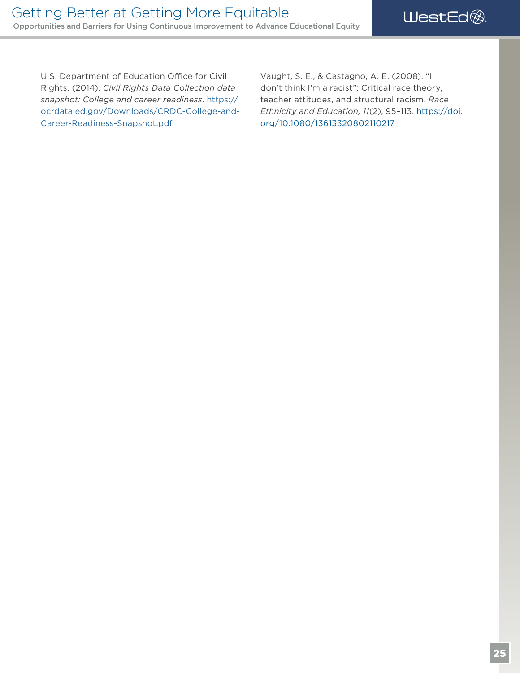U.S. Department of Education Office for Civil Rights. (2014). *Civil Rights Data Collection data snapshot: College and career readiness*. [https://](https://ocrdata.ed.gov/Downloads/CRDC-College-and-Career-Readiness-Snapshot.pdf)  [ocrdata.ed.gov/Downloads/CRDC-College-and-](https://ocrdata.ed.gov/Downloads/CRDC-College-and-Career-Readiness-Snapshot.pdf)[Career-Readiness-Snapshot.pdf](https://ocrdata.ed.gov/Downloads/CRDC-College-and-Career-Readiness-Snapshot.pdf)

Vaught, S. E., & Castagno, A. E. (2008). "I don't think I'm a racist": Critical race theory, teacher attitudes, and structural racism. *Race Ethnicity and Education, 11*(2), 95–113. [https://doi.](https://doi.org/10.1080/13613320802110217)  [org/10.1080/13613320802110217](https://doi.org/10.1080/13613320802110217)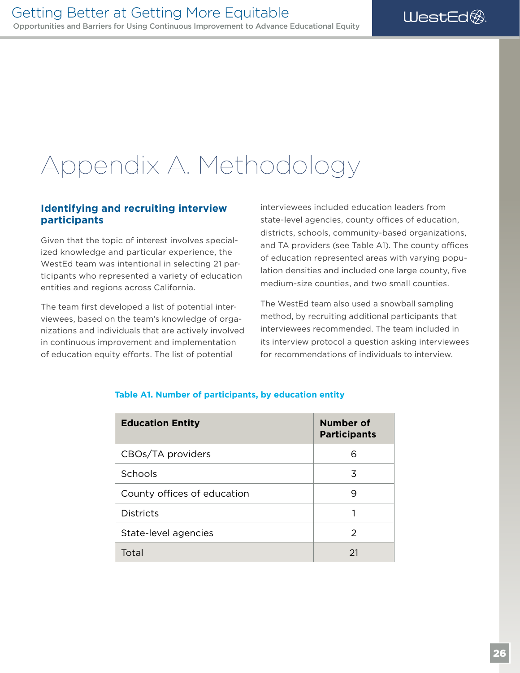### <span id="page-29-0"></span>Appendix A. Methodology

#### **Identifying and recruiting interview participants**

Given that the topic of interest involves specialized knowledge and particular experience, the WestEd team was intentional in selecting 21 participants who represented a variety of education entities and regions across California.

The team first developed a list of potential interviewees, based on the team's knowledge of organizations and individuals that are actively involved in continuous improvement and implementation of education equity efforts. The list of potential

interviewees included education leaders from state-level agencies, county offices of education, districts, schools, community-based organizations, and TA providers (see Table A1). The county offices of education represented areas with varying population densities and included one large county, five medium-size counties, and two small counties.

The WestEd team also used a snowball sampling method, by recruiting additional participants that interviewees recommended. The team included in its interview protocol a question asking interviewees for recommendations of individuals to interview.

| <b>Education Entity</b>     | Number of<br><b>Participants</b> |
|-----------------------------|----------------------------------|
| CBOs/TA providers           | 6                                |
| Schools                     | 3                                |
| County offices of education | 9                                |
| <b>Districts</b>            |                                  |
| State-level agencies        | 2                                |
| Total                       | 21                               |

#### **Table A1. Number of participants, by education entity**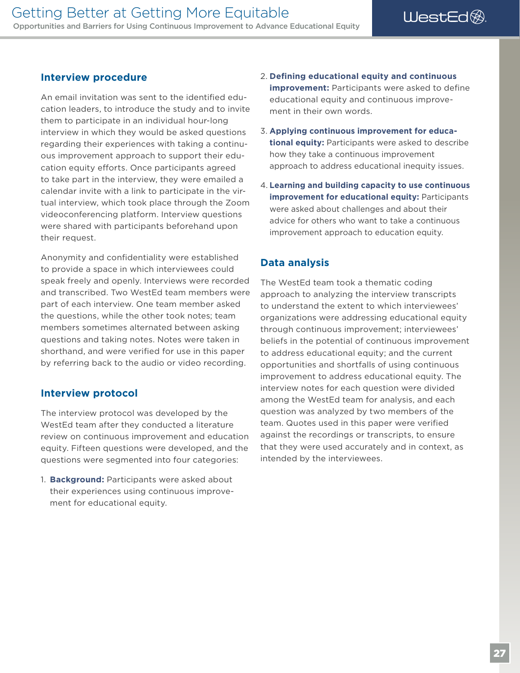#### <span id="page-30-0"></span>**Interview procedure**

An email invitation was sent to the identifed education leaders, to introduce the study and to invite them to participate in an individual hour-long interview in which they would be asked questions regarding their experiences with taking a continuous improvement approach to support their education equity efforts. Once participants agreed to take part in the interview, they were emailed a calendar invite with a link to participate in the virtual interview, which took place through the Zoom videoconferencing platform. Interview questions were shared with participants beforehand upon their request.

Anonymity and confdentiality were established to provide a space in which interviewees could speak freely and openly. Interviews were recorded and transcribed. Two WestEd team members were part of each interview. One team member asked the questions, while the other took notes; team members sometimes alternated between asking questions and taking notes. Notes were taken in shorthand, and were verifed for use in this paper by referring back to the audio or video recording.

#### **Interview protocol**

The interview protocol was developed by the WestEd team after they conducted a literature review on continuous improvement and education equity. Fifteen questions were developed, and the questions were segmented into four categories:

1. **Background:** Participants were asked about their experiences using continuous improvement for educational equity.

- 2. **Defning educational equity and continuous improvement:** Participants were asked to define educational equity and continuous improvement in their own words.
- 3. **Applying continuous improvement for educational equity:** Participants were asked to describe how they take a continuous improvement approach to address educational inequity issues.
- 4. **Learning and building capacity to use continuous improvement for educational equity:** Participants were asked about challenges and about their advice for others who want to take a continuous improvement approach to education equity.

#### **Data analysis**

The WestEd team took a thematic coding approach to analyzing the interview transcripts to understand the extent to which interviewees' organizations were addressing educational equity through continuous improvement; interviewees' beliefs in the potential of continuous improvement to address educational equity; and the current opportunities and shortfalls of using continuous improvement to address educational equity. The interview notes for each question were divided among the WestEd team for analysis, and each question was analyzed by two members of the team. Quotes used in this paper were verifed against the recordings or transcripts, to ensure that they were used accurately and in context, as intended by the interviewees.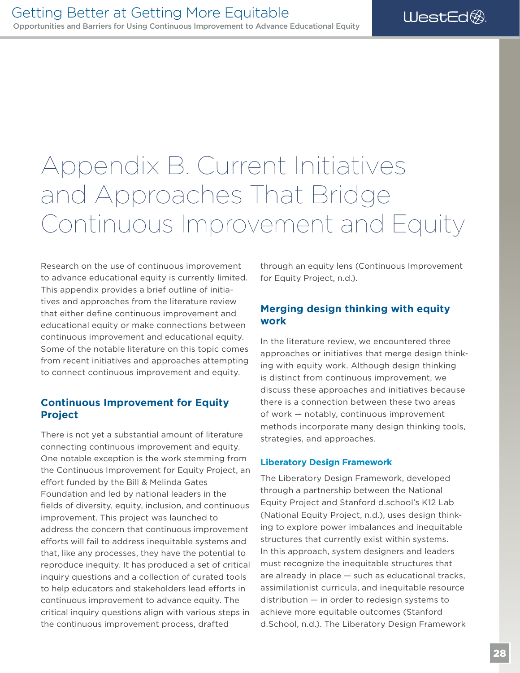### <span id="page-31-0"></span>Appendix B. Current Initiatives and Approaches That Bridge Continuous Improvement and Equity

Research on the use of continuous improvement to advance educational equity is currently limited. This appendix provides a brief outline of initiatives and approaches from the literature review that either define continuous improvement and educational equity or make connections between continuous improvement and educational equity. Some of the notable literature on this topic comes from recent initiatives and approaches attempting to connect continuous improvement and equity.

#### **Continuous Improvement for Equity Project**

There is not yet a substantial amount of literature connecting continuous improvement and equity. One notable exception is the work stemming from the Continuous Improvement for Equity Project, an effort funded by the Bill & Melinda Gates Foundation and led by national leaders in the felds of diversity, equity, inclusion, and continuous improvement. This project was launched to address the concern that continuous improvement eforts will fail to address inequitable systems and that, like any processes, they have the potential to reproduce inequity. It has produced a set of critical inquiry questions and a collection of curated tools to help educators and stakeholders lead efforts in continuous improvement to advance equity. The critical inquiry questions align with various steps in the continuous improvement process, drafted

through an equity lens (Continuous Improvement for Equity Project, n.d.).

#### **Merging design thinking with equity work**

In the literature review, we encountered three approaches or initiatives that merge design thinking with equity work. Although design thinking is distinct from continuous improvement, we discuss these approaches and initiatives because there is a connection between these two areas of work — notably, continuous improvement methods incorporate many design thinking tools, strategies, and approaches.

#### **Liberatory Design Framework**

The Liberatory Design Framework, developed through a partnership between the National Equity Project and Stanford d.school's K12 Lab (National Equity Project, n.d.), uses design thinking to explore power imbalances and inequitable structures that currently exist within systems. In this approach, system designers and leaders must recognize the inequitable structures that are already in place — such as educational tracks, assimilationist curricula, and inequitable resource distribution — in order to redesign systems to achieve more equitable outcomes (Stanford d.School, n.d.). The Liberatory Design Framework